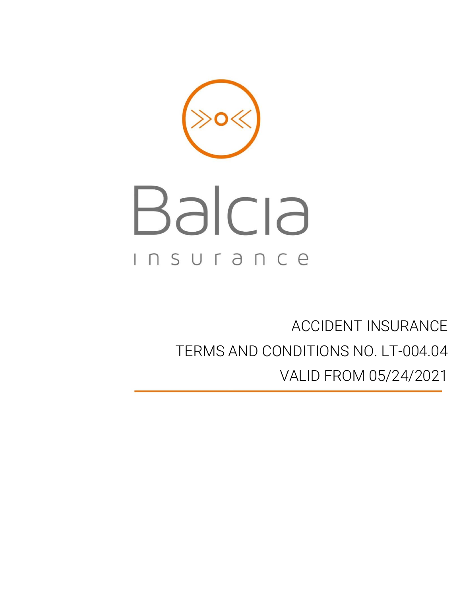# Balcia Insurance

# ACCIDENT INSURANCE TERMS AND CONDITIONS NO. LT-004.04 VALID FROM 05/24/2021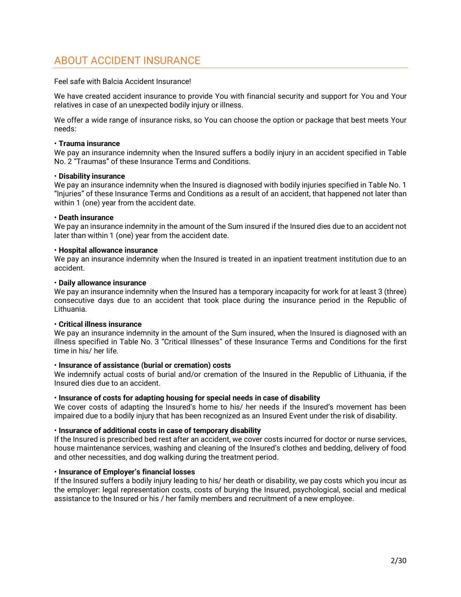# <span id="page-1-0"></span>ABOUT ACCIDENT INSURANCE

Feel safe with Balcia Accident Insurance!

We have created accident insurance to provide You with financial security and support for You and Your relatives in case of an unexpected bodily injury or illness.

We offer a wide range of insurance risks, so You can choose the option or package that best meets Your needs:

# • **Trauma insurance**

We pay an insurance indemnity when the Insured suffers a bodily injury in an accident specified in Table No. 2 "Traumas" of these Insurance Terms and Conditions.

### • **Disability insurance**

We pay an insurance indemnity when the Insured is diagnosed with bodily injuries specified in Table No. 1 "Injuries" of these Insurance Terms and Conditions as a result of an accident, that happened not later than within 1 (one) year from the accident date.

### • **Death insurance**

We pay an insurance indemnity in the amount of the Sum insured if the Insured dies due to an accident not later than within 1 (one) year from the accident date.

### • **Hospital allowance insurance**

We pay an insurance indemnity when the Insured is treated in an inpatient treatment institution due to an accident.

### • **Daily allowance insurance**

We pay an insurance indemnity when the Insured has a temporary incapacity for work for at least 3 (three) consecutive days due to an accident that took place during the insurance period in the Republic of Lithuania.

# • **Critical illness insurance**

We pay an insurance indemnity in the amount of the Sum insured, when the Insured is diagnosed with an illness specified in Table No. 3 "Critical Illnesses" of these Insurance Terms and Conditions for the first time in his/ her life.

# • **Insurance of assistance (burial or cremation) costs**

We indemnify actual costs of burial and/or cremation of the Insured in the Republic of Lithuania, if the Insured dies due to an accident.

# • **Insurance of costs for adapting housing for special needs in case of disability**

We cover costs of adapting the Insured's home to his/ her needs if the Insured's movement has been impaired due to a bodily injury that has been recognized as an Insured Event under the risk of disability.

# • **Insurance of additional costs in case of temporary disability**

If the Insured is prescribed bed rest after an accident, we cover costs incurred for doctor or nurse services, house maintenance services, washing and cleaning of the Insured's clothes and bedding, delivery of food and other necessities, and dog walking during the treatment period.

# • **Insurance of Employer's financial losses**

If the Insured suffers a bodily injury leading to his/ her death or disability, we pay costs which you incur as the employer: legal representation costs, costs of burying the Insured, psychological, social and medical assistance to the Insured or his / her family members and recruitment of a new employee.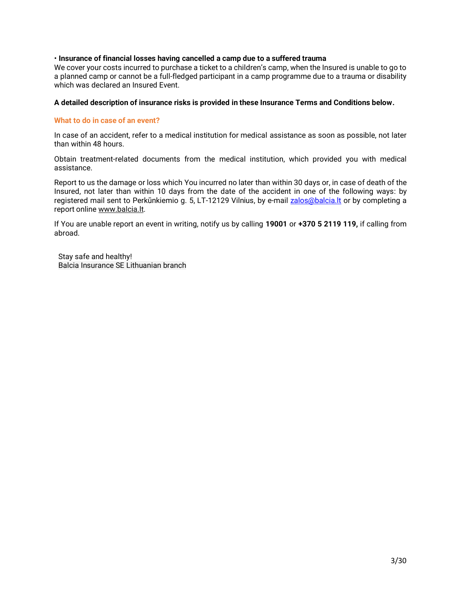# • **Insurance of financial losses having cancelled a camp due to a suffered trauma**

We cover your costs incurred to purchase a ticket to a children's camp, when the Insured is unable to go to a planned camp or cannot be a full-fledged participant in a camp programme due to a trauma or disability which was declared an Insured Event.

# **A detailed description of insurance risks is provided in these Insurance Terms and Conditions below.**

# **What to do in case of an event?**

In case of an accident, refer to a medical institution for medical assistance as soon as possible, not later than within 48 hours.

Obtain treatment-related documents from the medical institution, which provided you with medical assistance.

Report to us the damage or loss which You incurred no later than within 30 days or, in case of death of the Insured, not later than within 10 days from the date of the accident in one of the following ways: by registered mail sent to Perkūnkiemio g. 5, LT-12129 Vilnius, by e-mail [zalos@balcia.lt](mailto:zalos@balcia.lt) or by completing a report onlin[e www.balcia.lt.](http://www.balcia.lt/)

If You are unable report an event in writing, notify us by calling **19001** or **+370 5 2119 119,** if calling from abroad.

Stay safe and healthy! Balcia Insurance SE Lithuanian branch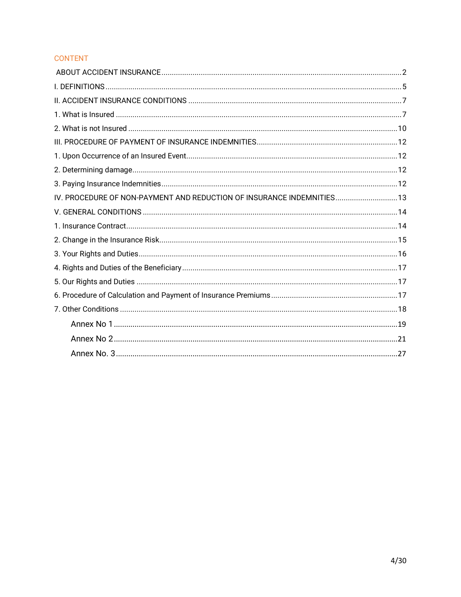# **CONTENT**

| IV. PROCEDURE OF NON-PAYMENT AND REDUCTION OF INSURANCE INDEMNITIES 13 |  |
|------------------------------------------------------------------------|--|
|                                                                        |  |
|                                                                        |  |
|                                                                        |  |
|                                                                        |  |
|                                                                        |  |
|                                                                        |  |
|                                                                        |  |
|                                                                        |  |
|                                                                        |  |
|                                                                        |  |
|                                                                        |  |
|                                                                        |  |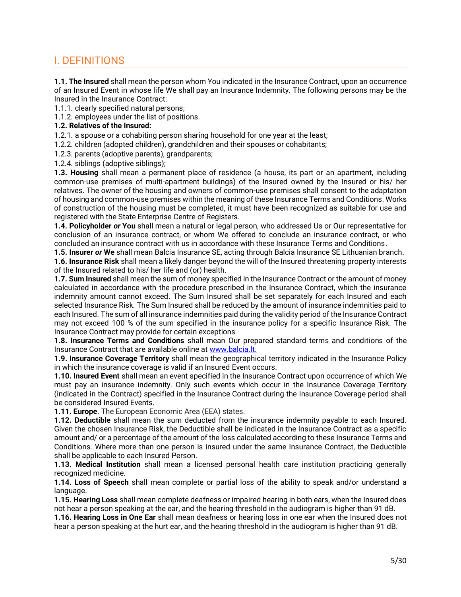# <span id="page-4-0"></span>I. DEFINITIONS

**1.1. The Insured** shall mean the person whom You indicated in the Insurance Contract, upon an occurrence of an Insured Event in whose life We shall pay an Insurance Indemnity. The following persons may be the Insured in the Insurance Contract:

1.1.1. clearly specified natural persons;

1.1.2. employees under the list of positions.

# **1.2. Relatives of the Insured:**

1.2.1. a spouse or a cohabiting person sharing household for one year at the least;

1.2.2. children (adopted children), grandchildren and their spouses or cohabitants;

1.2.3. parents (adoptive parents), grandparents;

1.2.4. siblings (adoptive siblings);

**1.3. Housing** shall mean a permanent place of residence (a house, its part or an apartment, including common-use premises of multi-apartment buildings) of the Insured owned by the Insured or his/ her relatives. The owner of the housing and owners of common-use premises shall consent to the adaptation of housing and common-use premises within the meaning of these Insurance Terms and Conditions. Works of construction of the housing must be completed, it must have been recognized as suitable for use and registered with the State Enterprise Centre of Registers.

**1.4. Policyholder** *or* **You** shall mean a natural or legal person, who addressed Us or Our representative for conclusion of an insurance contract, or whom We offered to conclude an insurance contract, or who concluded an insurance contract with us in accordance with these Insurance Terms and Conditions.

**1.5. Insurer** *or* **We** shall mean Balcia Insurance SE, acting through Balcia Insurance SE Lithuanian branch.

**1.6. Insurance Risk** shall mean a likely danger beyond the will of the Insured threatening property interests of the Insured related to his/ her life and (or) health.

**1.7. Sum Insured** shall mean the sum of money specified in the Insurance Contract or the amount of money calculated in accordance with the procedure prescribed in the Insurance Contract, which the insurance indemnity amount cannot exceed. The Sum Insured shall be set separately for each Insured and each selected Insurance Risk. The Sum Insured shall be reduced by the amount of insurance indemnities paid to each Insured. The sum of all insurance indemnities paid during the validity period of the Insurance Contract may not exceed 100 % of the sum specified in the insurance policy for a specific Insurance Risk. The Insurance Contract may provide for certain exceptions

**1.8. Insurance Terms and Conditions** shall mean Our prepared standard terms and conditions of the Insurance Contract that are available online at [www.balcia.lt.](http://www.balcia.lt/)

**1.9. Insurance Coverage Territory** shall mean the geographical territory indicated in the Insurance Policy in which the insurance coverage is valid if an Insured Event occurs.

**1.10. Insured Event** shall mean an event specified in the Insurance Contract upon occurrence of which We must pay an insurance indemnity. Only such events which occur in the Insurance Coverage Territory (indicated in the Contract) specified in the Insurance Contract during the Insurance Coverage period shall be considered Insured Events.

**1.11. Europe**. The European Economic Area (EEA) states.

**1.12. Deductible** shall mean the sum deducted from the insurance indemnity payable to each Insured. Given the chosen Insurance Risk, the Deductible shall be indicated in the Insurance Contract as a specific amount and/ or a percentage of the amount of the loss calculated according to these Insurance Terms and Conditions. Where more than one person is insured under the same Insurance Contract, the Deductible shall be applicable to each Insured Person.

**1.13. Medical Institution** shall mean a licensed personal health care institution practicing generally recognized medicine.

**1.14. Loss of Speech** shall mean complete or partial loss of the ability to speak and/or understand a language.

**1.15. Hearing Loss** shall mean complete deafness or impaired hearing in both ears, when the Insured does not hear a person speaking at the ear, and the hearing threshold in the audiogram is higher than 91 dB.

**1.16. Hearing Loss in One Ear** shall mean deafness or hearing loss in one ear when the Insured does not hear a person speaking at the hurt ear, and the hearing threshold in the audiogram is higher than 91 dB.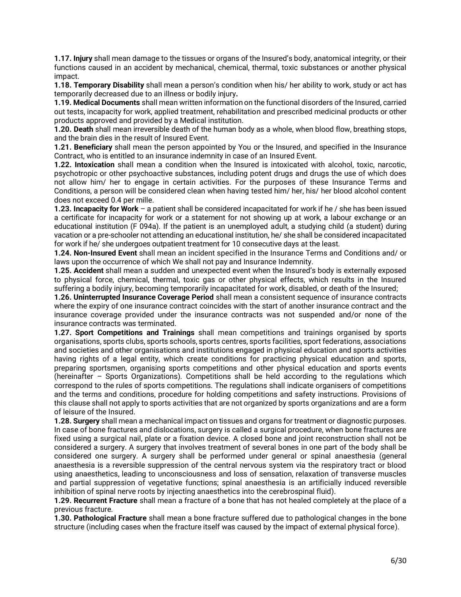**1.17. Injury** shall mean damage to the tissues or organs of the Insured's body, anatomical integrity, or their functions caused in an accident by mechanical, chemical, thermal, toxic substances or another physical impact.

**1.18. Temporary Disability** shall mean a person's condition when his/ her ability to work, study or act has temporarily decreased due to an illness or bodily injury**.**

**1.19. Medical Documents** shall mean written information on the functional disorders of the Insured, carried out tests, incapacity for work, applied treatment, rehabilitation and prescribed medicinal products or other products approved and provided by a Medical institution.

**1.20. Death** shall mean irreversible death of the human body as a whole, when blood flow, breathing stops, and the brain dies in the result of Insured Event.

**1.21. Beneficiary** shall mean the person appointed by You or the Insured, and specified in the Insurance Contract, who is entitled to an insurance indemnity in case of an Insured Event.

**1.22. Intoxication** shall mean a condition when the Insured is intoxicated with alcohol, toxic, narcotic, psychotropic or other psychoactive substances, including potent drugs and drugs the use of which does not allow him/ her to engage in certain activities. For the purposes of these Insurance Terms and Conditions, a person will be considered clean when having tested him/ her, his/ her blood alcohol content does not exceed 0.4 per mille.

**1.23. Incapacity for Work** – a patient shall be considered incapacitated for work if he / she has been issued a certificate for incapacity for work or a statement for not showing up at work, a labour exchange or an educational institution (F 094a). If the patient is an unemployed adult, a studying child (a student) during vacation or a pre-schooler not attending an educational institution, he/ she shall be considered incapacitated for work if he/ she undergoes outpatient treatment for 10 consecutive days at the least.

**1.24. Non-Insured Event** shall mean an incident specified in the Insurance Terms and Conditions and/ or laws upon the occurrence of which We shall not pay and Insurance Indemnity.

**1.25. Accident** shall mean a sudden and unexpected event when the Insured's body is externally exposed to physical force, chemical, thermal, toxic gas or other physical effects, which results in the Insured suffering a bodily injury, becoming temporarily incapacitated for work, disabled, or death of the Insured;

**1.26. Uninterrupted Insurance Coverage Period** shall mean a consistent sequence of insurance contracts where the expiry of one insurance contract coincides with the start of another insurance contract and the insurance coverage provided under the insurance contracts was not suspended and/or none of the insurance contracts was terminated.

**1.27. Sport Competitions and Trainings** shall mean competitions and trainings organised by sports organisations, sports clubs, sports schools, sports centres, sports facilities, sport federations, associations and societies and other organisations and institutions engaged in physical education and sports activities having rights of a legal entity, which create conditions for practicing physical education and sports, preparing sportsmen, organising sports competitions and other physical education and sports events (hereinafter – Sports Organizations). Competitions shall be held according to the regulations which correspond to the rules of sports competitions. The regulations shall indicate organisers of competitions and the terms and conditions, procedure for holding competitions and safety instructions. Provisions of this clause shall not apply to sports activities that are not organized by sports organizations and are a form of leisure of the Insured.

**1.28. Surgery** shall mean a mechanical impact on tissues and organs for treatment or diagnostic purposes. In case of bone fractures and dislocations, surgery is called a surgical procedure, when bone fractures are fixed using a surgical nail, plate or a fixation device. A closed bone and joint reconstruction shall not be considered a surgery. A surgery that involves treatment of several bones in one part of the body shall be considered one surgery. A surgery shall be performed under general or spinal anaesthesia (general anaesthesia is a reversible suppression of the central nervous system via the respiratory tract or blood using anaesthetics, leading to unconsciousness and loss of sensation, relaxation of transverse muscles and partial suppression of vegetative functions; spinal anaesthesia is an artificially induced reversible inhibition of spinal nerve roots by injecting anaesthetics into the cerebrospinal fluid).

**1.29. Recurrent Fracture** shall mean a fracture of a bone that has not healed completely at the place of a previous fracture.

**1.30. Pathological Fracture** shall mean a bone fracture suffered due to pathological changes in the bone structure (including cases when the fracture itself was caused by the impact of external physical force).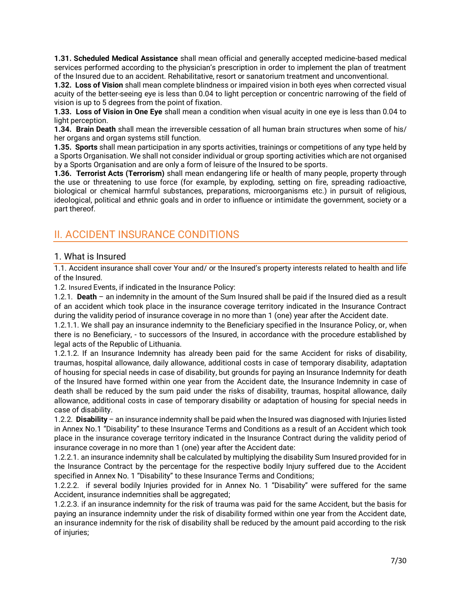**1.31. Scheduled Medical Assistance** shall mean official and generally accepted medicine-based medical services performed according to the physician's prescription in order to implement the plan of treatment of the Insured due to an accident. Rehabilitative, resort or sanatorium treatment and unconventional.

**1.32. Loss of Vision** shall mean complete blindness or impaired vision in both eyes when corrected visual acuity of the better-seeing eye is less than 0.04 to light perception or concentric narrowing of the field of vision is up to 5 degrees from the point of fixation.

**1.33. Loss of Vision in One Eye** shall mean a condition when visual acuity in one eye is less than 0.04 to light perception.

**1.34. Brain Death** shall mean the irreversible cessation of all human brain structures when some of his/ her organs and organ systems still function.

**1.35. Sports** shall mean participation in any sports activities, trainings or competitions of any type held by a Sports Organisation. We shall not consider individual or group sporting activities which are not organised by a Sports Organisation and are only a form of leisure of the Insured to be sports.

**1.36. Terrorist Acts (Terrorism)** shall mean endangering life or health of many people, property through the use or threatening to use force (for example, by exploding, setting on fire, spreading radioactive, biological or chemical harmful substances, preparations, microorganisms etc.) in pursuit of religious, ideological, political and ethnic goals and in order to influence or intimidate the government, society or a part thereof.

# <span id="page-6-0"></span>II. ACCIDENT INSURANCE CONDITIONS

# <span id="page-6-1"></span>1. What is Insured

1.1. Accident insurance shall cover Your and/ or the Insured's property interests related to health and life of the Insured.

1.2. Insured Events, if indicated in the Insurance Policy:

1.2.1. **Death** – an indemnity in the amount of the Sum Insured shall be paid if the Insured died as a result of an accident which took place in the insurance coverage territory indicated in the Insurance Contract during the validity period of insurance coverage in no more than 1 (one) year after the Accident date.

1.2.1.1. We shall pay an insurance indemnity to the Beneficiary specified in the Insurance Policy, or, when there is no Beneficiary, - to successors of the Insured, in accordance with the procedure established by legal acts of the Republic of Lithuania.

1.2.1.2. If an Insurance Indemnity has already been paid for the same Accident for risks of disability, traumas, hospital allowance, daily allowance, additional costs in case of temporary disability, adaptation of housing for special needs in case of disability, but grounds for paying an Insurance Indemnity for death of the Insured have formed within one year from the Accident date, the Insurance Indemnity in case of death shall be reduced by the sum paid under the risks of disability, traumas, hospital allowance, daily allowance, additional costs in case of temporary disability or adaptation of housing for special needs in case of disability.

1.2.2. **Disability** – an insurance indemnity shall be paid when the Insured was diagnosed with Injuries listed in Annex No.1 "Disability" to these Insurance Terms and Conditions as a result of an Accident which took place in the insurance coverage territory indicated in the Insurance Contract during the validity period of insurance coverage in no more than 1 (one) year after the Accident date:

1.2.2.1. an insurance indemnity shall be calculated by multiplying the disability Sum Insured provided for in the Insurance Contract by the percentage for the respective bodily Injury suffered due to the Accident specified in Annex No. 1 "Disability" to these Insurance Terms and Conditions;

1.2.2.2. if several bodily Injuries provided for in Annex No. 1 "Disability" were suffered for the same Accident, insurance indemnities shall be aggregated;

1.2.2.3. if an insurance indemnity for the risk of trauma was paid for the same Accident, but the basis for paying an insurance indemnity under the risk of disability formed within one year from the Accident date, an insurance indemnity for the risk of disability shall be reduced by the amount paid according to the risk of injuries;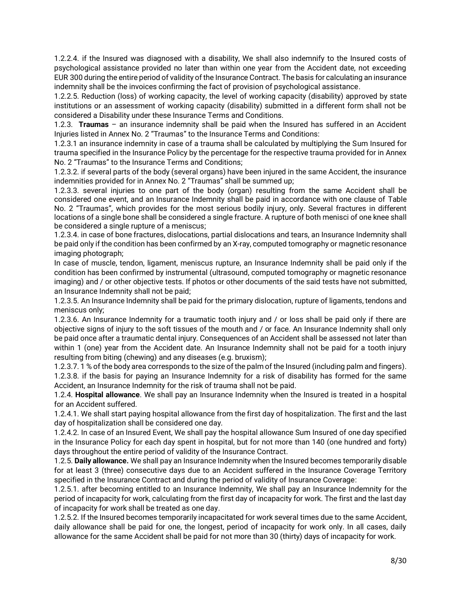1.2.2.4. if the Insured was diagnosed with a disability, We shall also indemnify to the Insured costs of psychological assistance provided no later than within one year from the Accident date, not exceeding EUR 300 during the entire period of validity of the Insurance Contract. The basis for calculating an insurance indemnity shall be the invoices confirming the fact of provision of psychological assistance.

1.2.2.5. Reduction (loss) of working capacity, the level of working capacity (disability) approved by state institutions or an assessment of working capacity (disability) submitted in a different form shall not be considered a Disability under these Insurance Terms and Conditions.

1.2.3. **Traumas** – an insurance indemnity shall be paid when the Insured has suffered in an Accident Injuries listed in Annex No. 2 "Traumas" to the Insurance Terms and Conditions:

1.2.3.1 an insurance indemnity in case of a trauma shall be calculated by multiplying the Sum Insured for trauma specified in the Insurance Policy by the percentage for the respective trauma provided for in Annex No. 2 "Traumas" to the Insurance Terms and Conditions;

1.2.3.2. if several parts of the body (several organs) have been injured in the same Accident, the insurance indemnities provided for in Annex No. 2 "Traumas" shall be summed up;

1.2.3.3. several injuries to one part of the body (organ) resulting from the same Accident shall be considered one event, and an Insurance Indemnity shall be paid in accordance with one clause of Table No. 2 "Traumas", which provides for the most serious bodily injury, only. Several fractures in different locations of a single bone shall be considered a single fracture. A rupture of both menisci of one knee shall be considered a single rupture of a meniscus;

1.2.3.4. in case of bone fractures, dislocations, partial dislocations and tears, an Insurance Indemnity shall be paid only if the condition has been confirmed by an X-ray, computed tomography or magnetic resonance imaging photograph;

In case of muscle, tendon, ligament, meniscus rupture, an Insurance Indemnity shall be paid only if the condition has been confirmed by instrumental (ultrasound, computed tomography or magnetic resonance imaging) and / or other objective tests. If photos or other documents of the said tests have not submitted, an Insurance Indemnity shall not be paid;

1.2.3.5. An Insurance Indemnity shall be paid for the primary dislocation, rupture of ligaments, tendons and meniscus only;

1.2.3.6. An Insurance Indemnity for a traumatic tooth injury and / or loss shall be paid only if there are objective signs of injury to the soft tissues of the mouth and / or face. An Insurance Indemnity shall only be paid once after a traumatic dental injury. Consequences of an Accident shall be assessed not later than within 1 (one) year from the Accident date. An Insurance Indemnity shall not be paid for a tooth injury resulting from biting (chewing) and any diseases (e.g. bruxism);

1.2.3.7. 1 % of the body area corresponds to the size of the palm of the Insured (including palm and fingers). 1.2.3.8. if the basis for paying an Insurance Indemnity for a risk of disability has formed for the same Accident, an Insurance Indemnity for the risk of trauma shall not be paid.

1.2.4. **Hospital allowance**. We shall pay an Insurance Indemnity when the Insured is treated in a hospital for an Accident suffered.

1.2.4.1. We shall start paying hospital allowance from the first day of hospitalization. The first and the last day of hospitalization shall be considered one day.

1.2.4.2. In case of an Insured Event, We shall pay the hospital allowance Sum Insured of one day specified in the Insurance Policy for each day spent in hospital, but for not more than 140 (one hundred and forty) days throughout the entire period of validity of the Insurance Contract.

1.2.5. **Daily allowance.** We shall pay an Insurance Indemnity when the Insured becomes temporarily disable for at least 3 (three) consecutive days due to an Accident suffered in the Insurance Coverage Territory specified in the Insurance Contract and during the period of validity of Insurance Coverage:

1.2.5.1. after becoming entitled to an Insurance Indemnity, We shall pay an Insurance Indemnity for the period of incapacity for work, calculating from the first day of incapacity for work. The first and the last day of incapacity for work shall be treated as one day.

1.2.5.2. If the Insured becomes temporarily incapacitated for work several times due to the same Accident, daily allowance shall be paid for one, the longest, period of incapacity for work only. In all cases, daily allowance for the same Accident shall be paid for not more than 30 (thirty) days of incapacity for work.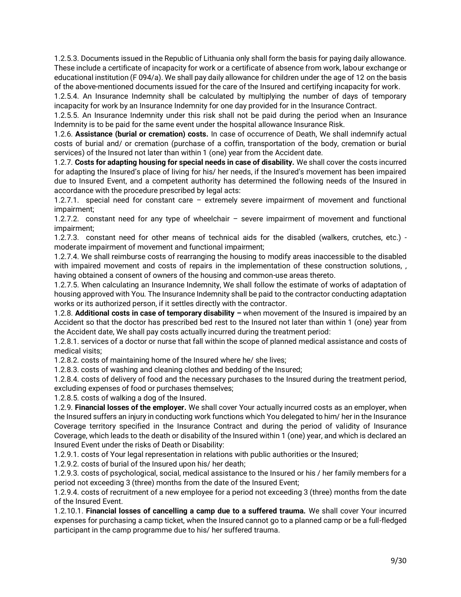1.2.5.3. Documents issued in the Republic of Lithuania only shall form the basis for paying daily allowance. These include a certificate of incapacity for work or a certificate of absence from work, labour exchange or educational institution (F 094/a). We shall pay daily allowance for children under the age of 12 on the basis of the above-mentioned documents issued for the care of the Insured and certifying incapacity for work.

1.2.5.4. An Insurance Indemnity shall be calculated by multiplying the number of days of temporary incapacity for work by an Insurance Indemnity for one day provided for in the Insurance Contract.

1.2.5.5. An Insurance Indemnity under this risk shall not be paid during the period when an Insurance Indemnity is to be paid for the same event under the hospital allowance Insurance Risk.

1.2.6. **Assistance (burial or cremation) costs.** In case of occurrence of Death, We shall indemnify actual costs of burial and/ or cremation (purchase of a coffin, transportation of the body, cremation or burial services) of the Insured not later than within 1 (one) year from the Accident date.

1.2.7. **Costs for adapting housing for special needs in case of disability.** We shall cover the costs incurred for adapting the Insured's place of living for his/ her needs, if the Insured's movement has been impaired due to Insured Event, and a competent authority has determined the following needs of the Insured in accordance with the procedure prescribed by legal acts:

1.2.7.1. special need for constant care – extremely severe impairment of movement and functional impairment;

1.2.7.2. constant need for any type of wheelchair – severe impairment of movement and functional impairment;

1.2.7.3. constant need for other means of technical aids for the disabled (walkers, crutches, etc.) moderate impairment of movement and functional impairment;

1.2.7.4. We shall reimburse costs of rearranging the housing to modify areas inaccessible to the disabled with impaired movement and costs of repairs in the implementation of these construction solutions, , having obtained a consent of owners of the housing and common-use areas thereto.

1.2.7.5. When calculating an Insurance Indemnity, We shall follow the estimate of works of adaptation of housing approved with You. The Insurance Indemnity shall be paid to the contractor conducting adaptation works or its authorized person, if it settles directly with the contractor.

1.2.8. **Additional costs in case of temporary disability –** when movement of the Insured is impaired by an Accident so that the doctor has prescribed bed rest to the Insured not later than within 1 (one) year from the Accident date, We shall pay costs actually incurred during the treatment period:

1.2.8.1. services of a doctor or nurse that fall within the scope of planned medical assistance and costs of medical visits;

1.2.8.2. costs of maintaining home of the Insured where he/ she lives;

1.2.8.3. costs of washing and cleaning clothes and bedding of the Insured;

1.2.8.4. costs of delivery of food and the necessary purchases to the Insured during the treatment period, excluding expenses of food or purchases themselves;

1.2.8.5. costs of walking a dog of the Insured.

1.2.9. **Financial losses of the employer.** We shall cover Your actually incurred costs as an employer, when the Insured suffers an injury in conducting work functions which You delegated to him/ her in the Insurance Coverage territory specified in the Insurance Contract and during the period of validity of Insurance Coverage, which leads to the death or disability of the Insured within 1 (one) year, and which is declared an Insured Event under the risks of Death or Disability:

1.2.9.1. costs of Your legal representation in relations with public authorities or the Insured;

1.2.9.2. costs of burial of the Insured upon his/ her death;

1.2.9.3. costs of psychological, social, medical assistance to the Insured or his / her family members for a period not exceeding 3 (three) months from the date of the Insured Event;

1.2.9.4. costs of recruitment of a new employee for a period not exceeding 3 (three) months from the date of the Insured Event.

1.2.10.1. **Financial losses of cancelling a camp due to a suffered trauma.** We shall cover Your incurred expenses for purchasing a camp ticket, when the Insured cannot go to a planned camp or be a full-fledged participant in the camp programme due to his/ her suffered trauma.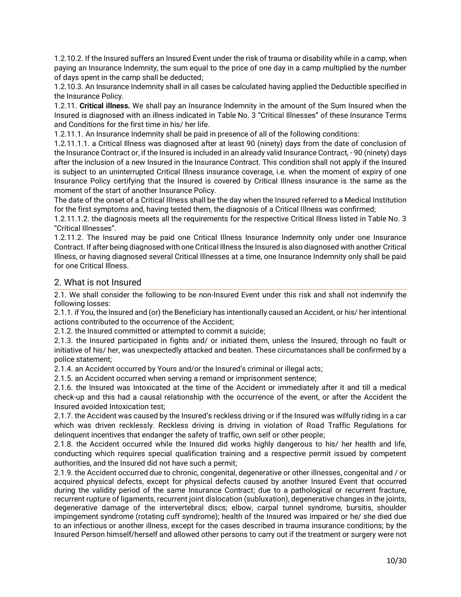1.2.10.2. If the Insured suffers an Insured Event under the risk of trauma or disability while in a camp, when paying an Insurance Indemnity, the sum equal to the price of one day in a camp multiplied by the number of days spent in the camp shall be deducted;

1.2.10.3. An Insurance Indemnity shall in all cases be calculated having applied the Deductible specified in the Insurance Policy.

1.2.11. **Critical illness.** We shall pay an Insurance Indemnity in the amount of the Sum Insured when the Insured is diagnosed with an illness indicated in Table No. 3 "Critical Illnesses" of these Insurance Terms and Conditions for the first time in his/ her life.

1.2.11.1. An Insurance Indemnity shall be paid in presence of all of the following conditions:

1.2.11.1.1. a Critical Illness was diagnosed after at least 90 (ninety) days from the date of conclusion of the Insurance Contract or, if the Insured is included in an already valid Insurance Contract, - 90 (ninety) days after the inclusion of a new Insured in the Insurance Contract. This condition shall not apply if the Insured is subject to an uninterrupted Critical Illness insurance coverage, i.e. when the moment of expiry of one Insurance Policy certifying that the Insured is covered by Critical Illness insurance is the same as the moment of the start of another Insurance Policy.

The date of the onset of a Critical Illness shall be the day when the Insured referred to a Medical Institution for the first symptoms and, having tested them, the diagnosis of a Critical Illness was confirmed;

1.2.11.1.2. the diagnosis meets all the requirements for the respective Critical Illness listed in Table No. 3 "Critical Illnesses".

1.2.11.2. The Insured may be paid one Critical Illness Insurance Indemnity only under one Insurance Contract. If after being diagnosed with one Critical Illness the Insured is also diagnosed with another Critical Illness, or having diagnosed several Critical Illnesses at a time, one Insurance Indemnity only shall be paid for one Critical Illness.

# <span id="page-9-0"></span>2. What is not Insured

2.1. We shall consider the following to be non-Insured Event under this risk and shall not indemnify the following losses:

2.1.1. if You, the Insured and (or) the Beneficiary has intentionally caused an Accident, or his/ her intentional actions contributed to the occurrence of the Accident;

2.1.2. the Insured committed or attempted to commit a suicide;

2.1.3. the Insured participated in fights and/ or initiated them, unless the Insured, through no fault or initiative of his/ her, was unexpectedly attacked and beaten. These circumstances shall be confirmed by a police statement;

2.1.4. an Accident occurred by Yours and/or the Insured's criminal or illegal acts;

2.1.5. an Accident occurred when serving a remand or imprisonment sentence;

2.1.6. the Insured was Intoxicated at the time of the Accident or immediately after it and till a medical check-up and this had a causal relationship with the occurrence of the event, or after the Accident the Insured avoided Intoxication test;

2.1.7. the Accident was caused by the Insured's reckless driving or if the Insured was wilfully riding in a car which was driven recklessly. Reckless driving is driving in violation of Road Traffic Regulations for delinquent incentives that endanger the safety of traffic, own self or other people;

2.1.8. the Accident occurred while the Insured did works highly dangerous to his/ her health and life, conducting which requires special qualification training and a respective permit issued by competent authorities, and the Insured did not have such a permit;

2.1.9. the Accident occurred due to chronic, congenital, degenerative or other illnesses, congenital and / or acquired physical defects, except for physical defects caused by another Insured Event that occurred during the validity period of the same Insurance Contract; due to a pathological or recurrent fracture, recurrent rupture of ligaments, recurrent joint dislocation (subluxation), degenerative changes in the joints, degenerative damage of the intervertebral discs; elbow, carpal tunnel syndrome, bursitis, shoulder impingement syndrome (rotating cuff syndrome); health of the Insured was impaired or he/ she died due to an infectious or another illness, except for the cases described in trauma insurance conditions; by the Insured Person himself/herself and allowed other persons to carry out if the treatment or surgery were not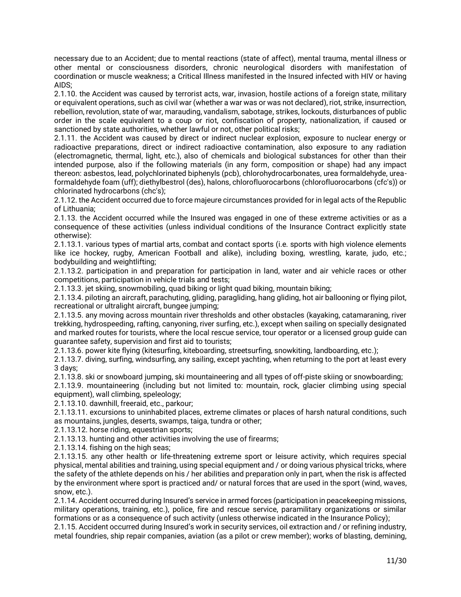necessary due to an Accident; due to mental reactions (state of affect), mental trauma, mental illness or other mental or consciousness disorders, chronic neurological disorders with manifestation of coordination or muscle weakness; a Critical Illness manifested in the Insured infected with HIV or having AIDS;

2.1.10. the Accident was caused by terrorist acts, war, invasion, hostile actions of a foreign state, military or equivalent operations, such as civil war (whether a war was or was not declared), riot, strike, insurrection, rebellion, revolution, state of war, marauding, vandalism, sabotage, strikes, lockouts, disturbances of public order in the scale equivalent to a coup or riot, confiscation of property, nationalization, if caused or sanctioned by state authorities, whether lawful or not, other political risks;

2.1.11. the Accident was caused by direct or indirect nuclear explosion, exposure to nuclear energy or radioactive preparations, direct or indirect radioactive contamination, also exposure to any radiation (electromagnetic, thermal, light, etc.), also of chemicals and biological substances for other than their intended purpose, also if the following materials (in any form, composition or shape) had any impact thereon: asbestos, lead, polychlorinated biphenyls (pcb), chlorohydrocarbonates, urea formaldehyde, ureaformaldehyde foam (uff); diethylbestrol (des), halons, chlorofluorocarbons (chlorofluorocarbons (cfc's)) or chlorinated hydrocarbons (chc's);

2.1.12. the Accident occurred due to force majeure circumstances provided for in legal acts of the Republic of Lithuania;

2.1.13. the Accident occurred while the Insured was engaged in one of these extreme activities or as a consequence of these activities (unless individual conditions of the Insurance Contract explicitly state otherwise):

2.1.13.1. various types of martial arts, combat and contact sports (i.e. sports with high violence elements like ice hockey, rugby, American Football and alike), including boxing, wrestling, karate, judo, etc.; bodybuilding and weightlifting;

2.1.13.2. participation in and preparation for participation in land, water and air vehicle races or other competitions, participation in vehicle trials and tests;

2.1.13.3. jet skiing, snowmobiling, quad biking or light quad biking, mountain biking;

2.1.13.4. piloting an aircraft, parachuting, gliding, paragliding, hang gliding, hot air ballooning or flying pilot, recreational or ultralight aircraft, bungee jumping;

2.1.13.5. any moving across mountain river thresholds and other obstacles (kayaking, catamaraning, river trekking, hydrospeeding, rafting, canyoning, river surfing, etc.), except when sailing on specially designated and marked routes for tourists, where the local rescue service, tour operator or a licensed group guide can guarantee safety, supervision and first aid to tourists;

2.1.13.6. power kite flying (kitesurfing, kiteboarding, streetsurfing, snowkiting, landboarding, etc.);

2.1.13.7. diving, surfing, windsurfing, any sailing, except yachting, when returning to the port at least every 3 days;

2.1.13.8. ski or snowboard jumping, ski mountaineering and all types of off-piste skiing or snowboarding;

2.1.13.9. mountaineering (including but not limited to: mountain, rock, glacier climbing using special equipment), wall climbing, speleology;

2.1.13.10. dawnhill, freeraid, etc., parkour;

2.1.13.11. excursions to uninhabited places, extreme climates or places of harsh natural conditions, such as mountains, jungles, deserts, swamps, taiga, tundra or other;

2.1.13.12. horse riding, equestrian sports;

2.1.13.13. hunting and other activities involving the use of firearms;

2.1.13.14. fishing on the high seas;

2.1.13.15. any other health or life-threatening extreme sport or leisure activity, which requires special physical, mental abilities and training, using special equipment and / or doing various physical tricks, where the safety of the athlete depends on his / her abilities and preparation only in part, when the risk is affected by the environment where sport is practiced and/ or natural forces that are used in the sport (wind, waves, snow, etc.).

2.1.14. Accident occurred during Insured's service in armed forces (participation in peacekeeping missions, military operations, training, etc.), police, fire and rescue service, paramilitary organizations or similar formations or as a consequence of such activity (unless otherwise indicated in the Insurance Policy);

2.1.15. Accident occurred during Insured's work in security services, oil extraction and / or refining industry, metal foundries, ship repair companies, aviation (as a pilot or crew member); works of blasting, demining,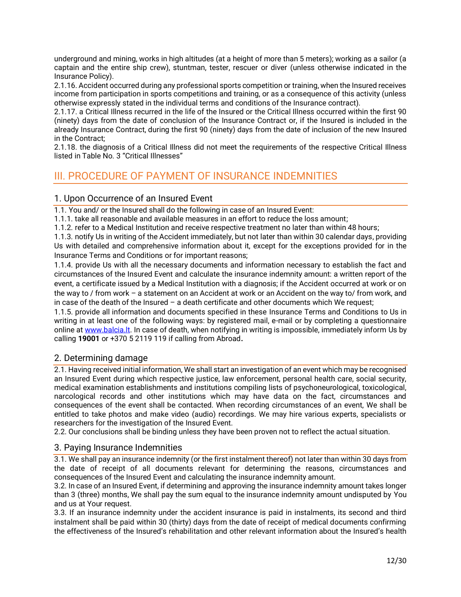underground and mining, works in high altitudes (at a height of more than 5 meters); working as a sailor (a captain and the entire ship crew), stuntman, tester, rescuer or diver (unless otherwise indicated in the Insurance Policy).

2.1.16. Accident occurred during any professional sports competition or training, when the Insured receives income from participation in sports competitions and training, or as a consequence of this activity (unless otherwise expressly stated in the individual terms and conditions of the Insurance contract).

2.1.17. a Critical Illness recurred in the life of the Insured or the Critical Illness occurred within the first 90 (ninety) days from the date of conclusion of the Insurance Contract or, if the Insured is included in the already Insurance Contract, during the first 90 (ninety) days from the date of inclusion of the new Insured in the Contract;

2.1.18. the diagnosis of a Critical Illness did not meet the requirements of the respective Critical Illness listed in Table No. 3 "Critical Illnesses"

# <span id="page-11-0"></span>III. PROCEDURE OF PAYMENT OF INSURANCE INDEMNITIES

# <span id="page-11-1"></span>1. Upon Occurrence of an Insured Event

1.1. You and/ or the Insured shall do the following in case of an Insured Event:

1.1.1. take all reasonable and available measures in an effort to reduce the loss amount;

1.1.2. refer to a Medical Institution and receive respective treatment no later than within 48 hours;

1.1.3. notify Us in writing of the Accident immediately, but not later than within 30 calendar days, providing Us with detailed and comprehensive information about it, except for the exceptions provided for in the Insurance Terms and Conditions or for important reasons;

1.1.4. provide Us with all the necessary documents and information necessary to establish the fact and circumstances of the Insured Event and calculate the insurance indemnity amount: a written report of the event, a certificate issued by a Medical Institution with a diagnosis; if the Accident occurred at work or on the way to / from work – a statement on an Accident at work or an Accident on the way to/ from work, and in case of the death of the Insured – a death certificate and other documents which We request;

1.1.5. provide all information and documents specified in these Insurance Terms and Conditions to Us in writing in at least one of the following ways: by registered mail, e-mail or by completing a questionnaire online a[t www.balcia.lt.](http://www.balcia.lt/) In case of death, when notifying in writing is impossible, immediately inform Us by calling **19001** or +370 5 2119 119 if calling from Abroad**.**

# <span id="page-11-2"></span>2. Determining damage

2.1. Having received initial information, We shall start an investigation of an event which may be recognised an Insured Event during which respective justice, law enforcement, personal health care, social security, medical examination establishments and institutions compiling lists of psychoneurological, toxicological, narcological records and other institutions which may have data on the fact, circumstances and consequences of the event shall be contacted. When recording circumstances of an event, We shall be entitled to take photos and make video (audio) recordings. We may hire various experts, specialists or researchers for the investigation of the Insured Event.

2.2. Our conclusions shall be binding unless they have been proven not to reflect the actual situation.

# <span id="page-11-3"></span>3. Paying Insurance Indemnities

3.1. We shall pay an insurance indemnity (or the first instalment thereof) not later than within 30 days from the date of receipt of all documents relevant for determining the reasons, circumstances and consequences of the Insured Event and calculating the insurance indemnity amount.

3.2. In case of an Insured Event, if determining and approving the insurance indemnity amount takes longer than 3 (three) months, We shall pay the sum equal to the insurance indemnity amount undisputed by You and us at Your request.

3.3. If an insurance indemnity under the accident insurance is paid in instalments, its second and third instalment shall be paid within 30 (thirty) days from the date of receipt of medical documents confirming the effectiveness of the Insured's rehabilitation and other relevant information about the Insured's health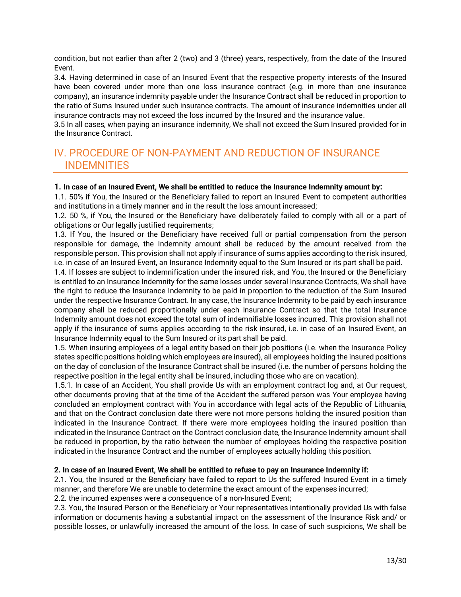condition, but not earlier than after 2 (two) and 3 (three) years, respectively, from the date of the Insured Event.

3.4. Having determined in case of an Insured Event that the respective property interests of the Insured have been covered under more than one loss insurance contract (e.g. in more than one insurance company), an insurance indemnity payable under the Insurance Contract shall be reduced in proportion to the ratio of Sums Insured under such insurance contracts. The amount of insurance indemnities under all insurance contracts may not exceed the loss incurred by the Insured and the insurance value.

3.5 In all cases, when paying an insurance indemnity, We shall not exceed the Sum Insured provided for in the Insurance Contract.

# <span id="page-12-0"></span>IV. PROCEDURE OF NON-PAYMENT AND REDUCTION OF INSURANCE INDEMNITIES

# **1. In case of an Insured Event, We shall be entitled to reduce the Insurance Indemnity amount by:**

1.1. 50% if You, the Insured or the Beneficiary failed to report an Insured Event to competent authorities and institutions in a timely manner and in the result the loss amount increased;

1.2. 50 %, if You, the Insured or the Beneficiary have deliberately failed to comply with all or a part of obligations or Our legally justified requirements;

1.3. If You, the Insured or the Beneficiary have received full or partial compensation from the person responsible for damage, the Indemnity amount shall be reduced by the amount received from the responsible person. This provision shall not apply if insurance of sums applies according to the risk insured, i.e. in case of an Insured Event, an Insurance Indemnity equal to the Sum Insured or its part shall be paid.

1.4. If losses are subject to indemnification under the insured risk, and You, the Insured or the Beneficiary is entitled to an Insurance Indemnity for the same losses under several Insurance Contracts, We shall have the right to reduce the Insurance Indemnity to be paid in proportion to the reduction of the Sum Insured under the respective Insurance Contract. In any case, the Insurance Indemnity to be paid by each insurance company shall be reduced proportionally under each Insurance Contract so that the total Insurance Indemnity amount does not exceed the total sum of indemnifiable losses incurred. This provision shall not apply if the insurance of sums applies according to the risk insured, i.e. in case of an Insured Event, an Insurance Indemnity equal to the Sum Insured or its part shall be paid.

1.5. When insuring employees of a legal entity based on their job positions (i.e. when the Insurance Policy states specific positions holding which employees are insured), all employees holding the insured positions on the day of conclusion of the Insurance Contract shall be insured (i.e. the number of persons holding the respective position in the legal entity shall be insured, including those who are on vacation).

1.5.1. In case of an Accident, You shall provide Us with an employment contract log and, at Our request, other documents proving that at the time of the Accident the suffered person was Your employee having concluded an employment contract with You in accordance with legal acts of the Republic of Lithuania, and that on the Contract conclusion date there were not more persons holding the insured position than indicated in the Insurance Contract. If there were more employees holding the insured position than indicated in the Insurance Contract on the Contract conclusion date, the Insurance Indemnity amount shall be reduced in proportion, by the ratio between the number of employees holding the respective position indicated in the Insurance Contract and the number of employees actually holding this position.

# **2. In case of an Insured Event, We shall be entitled to refuse to pay an Insurance Indemnity if:**

2.1. You, the Insured or the Beneficiary have failed to report to Us the suffered Insured Event in a timely manner, and therefore We are unable to determine the exact amount of the expenses incurred;

2.2. the incurred expenses were a consequence of a non-Insured Event;

2.3. You, the Insured Person or the Beneficiary or Your representatives intentionally provided Us with false information or documents having a substantial impact on the assessment of the Insurance Risk and/ or possible losses, or unlawfully increased the amount of the loss. In case of such suspicions, We shall be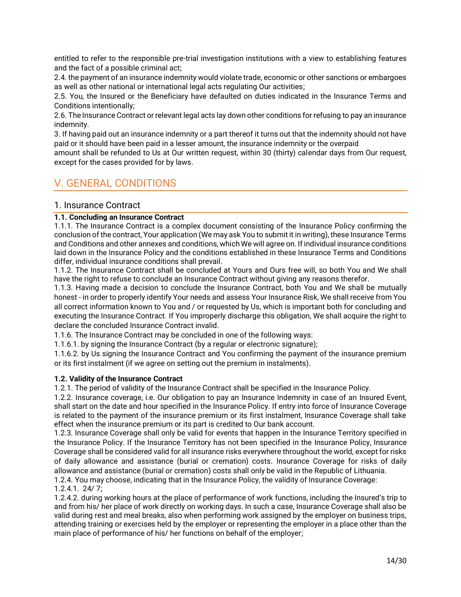entitled to refer to the responsible pre-trial investigation institutions with a view to establishing features and the fact of a possible criminal act;

2.4. the payment of an insurance indemnity would violate trade, economic or other sanctions or embargoes as well as other national or international legal acts regulating Our activities;

2.5. You, the Insured or the Beneficiary have defaulted on duties indicated in the Insurance Terms and Conditions intentionally;

2.6. The Insurance Contract or relevant legal acts lay down other conditions for refusing to pay an insurance indemnity.

3. If having paid out an insurance indemnity or a part thereof it turns out that the indemnity should not have paid or it should have been paid in a lesser amount, the insurance indemnity or the overpaid

amount shall be refunded to Us at Our written request, within 30 (thirty) calendar days from Our request, except for the cases provided for by laws.

# <span id="page-13-0"></span>V. GENERAL CONDITIONS

# <span id="page-13-1"></span>1. Insurance Contract

# **1.1. Concluding an Insurance Contract**

1.1.1. The Insurance Contract is a complex document consisting of the Insurance Policy confirming the conclusion of the contract, Your application (We may ask You to submit it in writing), these Insurance Terms and Conditions and other annexes and conditions, which We will agree on. If individual insurance conditions laid down in the Insurance Policy and the conditions established in these Insurance Terms and Conditions differ, individual insurance conditions shall prevail.

1.1.2. The Insurance Contract shall be concluded at Yours and Ours free will, so both You and We shall have the right to refuse to conclude an Insurance Contract without giving any reasons therefor.

1.1.3. Having made a decision to conclude the Insurance Contract, both You and We shall be mutually honest - in order to properly identify Your needs and assess Your Insurance Risk, We shall receive from You all correct information known to You and / or requested by Us, which is important both for concluding and executing the Insurance Contract. If You improperly discharge this obligation, We shall acquire the right to declare the concluded Insurance Contract invalid.

1.1.6. The Insurance Contract may be concluded in one of the following ways:

1.1.6.1. by signing the Insurance Contract (by a regular or electronic signature);

1.1.6.2. by Us signing the Insurance Contract and You confirming the payment of the insurance premium or its first instalment (if we agree on setting out the premium in instalments).

# **1.2. Validity of the Insurance Contract**

1.2.1. The period of validity of the Insurance Contract shall be specified in the Insurance Policy.

1.2.2. Insurance coverage, i.e. Our obligation to pay an Insurance Indemnity in case of an Insured Event, shall start on the date and hour specified in the Insurance Policy. If entry into force of Insurance Coverage is related to the payment of the insurance premium or its first instalment, Insurance Coverage shall take effect when the insurance premium or its part is credited to Our bank account.

1.2.3. Insurance Coverage shall only be valid for events that happen in the Insurance Territory specified in the Insurance Policy. If the Insurance Territory has not been specified in the Insurance Policy, Insurance Coverage shall be considered valid for all insurance risks everywhere throughout the world, except for risks of daily allowance and assistance (burial or cremation) costs. Insurance Coverage for risks of daily allowance and assistance (burial or cremation) costs shall only be valid in the Republic of Lithuania.

1.2.4. You may choose, indicating that in the Insurance Policy, the validity of Insurance Coverage: 1.2.4.1. 24/ 7;

1.2.4.2. during working hours at the place of performance of work functions, including the Insured's trip to and from his/ her place of work directly on working days. In such a case, Insurance Coverage shall also be valid during rest and meal breaks, also when performing work assigned by the employer on business trips, attending training or exercises held by the employer or representing the employer in a place other than the main place of performance of his/ her functions on behalf of the employer;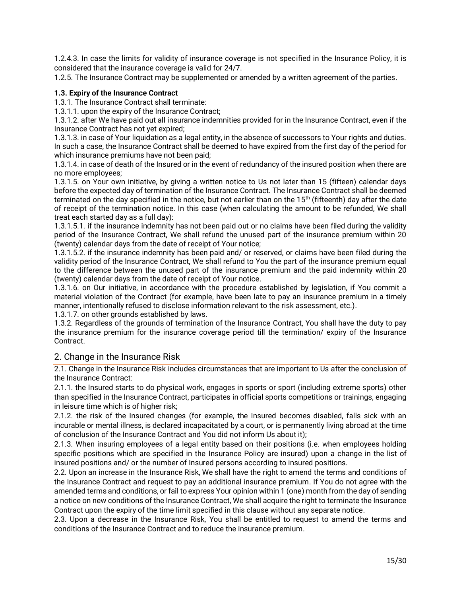1.2.4.3. In case the limits for validity of insurance coverage is not specified in the Insurance Policy, it is considered that the insurance coverage is valid for 24/7.

1.2.5. The Insurance Contract may be supplemented or amended by a written agreement of the parties.

# **1.3. Expiry of the Insurance Contract**

1.3.1. The Insurance Contract shall terminate:

1.3.1.1. upon the expiry of the Insurance Contract;

1.3.1.2. after We have paid out all insurance indemnities provided for in the Insurance Contract, even if the Insurance Contract has not yet expired;

1.3.1.3. in case of Your liquidation as a legal entity, in the absence of successors to Your rights and duties. In such a case, the Insurance Contract shall be deemed to have expired from the first day of the period for which insurance premiums have not been paid;

1.3.1.4. in case of death of the Insured or in the event of redundancy of the insured position when there are no more employees;

1.3.1.5. on Your own initiative, by giving a written notice to Us not later than 15 (fifteen) calendar days before the expected day of termination of the Insurance Contract. The Insurance Contract shall be deemed terminated on the day specified in the notice, but not earlier than on the 15<sup>th</sup> (fifteenth) day after the date of receipt of the termination notice. In this case (when calculating the amount to be refunded, We shall treat each started day as a full day):

1.3.1.5.1. if the insurance indemnity has not been paid out or no claims have been filed during the validity period of the Insurance Contract, We shall refund the unused part of the insurance premium within 20 (twenty) calendar days from the date of receipt of Your notice;

1.3.1.5.2. if the insurance indemnity has been paid and/ or reserved, or claims have been filed during the validity period of the Insurance Contract, We shall refund to You the part of the insurance premium equal to the difference between the unused part of the insurance premium and the paid indemnity within 20 (twenty) calendar days from the date of receipt of Your notice.

1.3.1.6. on Our initiative, in accordance with the procedure established by legislation, if You commit a material violation of the Contract (for example, have been late to pay an insurance premium in a timely manner, intentionally refused to disclose information relevant to the risk assessment, etc.).

1.3.1.7. on other grounds established by laws.

1.3.2. Regardless of the grounds of termination of the Insurance Contract, You shall have the duty to pay the insurance premium for the insurance coverage period till the termination/ expiry of the Insurance Contract.

# <span id="page-14-0"></span>2. Change in the Insurance Risk

2.1. Change in the Insurance Risk includes circumstances that are important to Us after the conclusion of the Insurance Contract:

2.1.1. the Insured starts to do physical work, engages in sports or sport (including extreme sports) other than specified in the Insurance Contract, participates in official sports competitions or trainings, engaging in leisure time which is of higher risk;

2.1.2. the risk of the Insured changes (for example, the Insured becomes disabled, falls sick with an incurable or mental illness, is declared incapacitated by a court, or is permanently living abroad at the time of conclusion of the Insurance Contract and You did not inform Us about it);

2.1.3. When insuring employees of a legal entity based on their positions (i.e. when employees holding specific positions which are specified in the Insurance Policy are insured) upon a change in the list of insured positions and/ or the number of Insured persons according to insured positions.

2.2. Upon an increase in the Insurance Risk, We shall have the right to amend the terms and conditions of the Insurance Contract and request to pay an additional insurance premium. If You do not agree with the amended terms and conditions, or fail to express Your opinion within 1 (one) month from the day of sending a notice on new conditions of the Insurance Contract, We shall acquire the right to terminate the Insurance Contract upon the expiry of the time limit specified in this clause without any separate notice.

2.3. Upon a decrease in the Insurance Risk, You shall be entitled to request to amend the terms and conditions of the Insurance Contract and to reduce the insurance premium.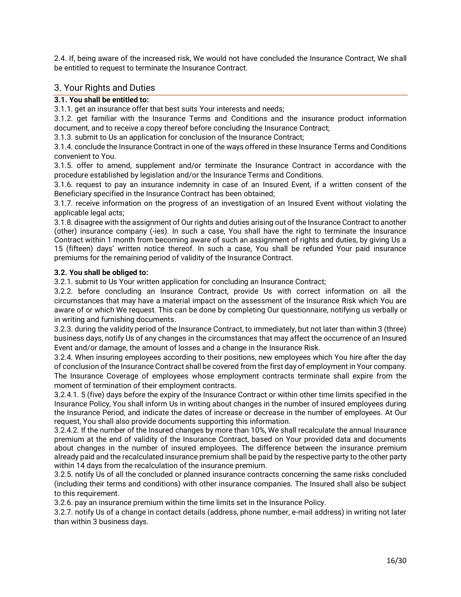2.4. If, being aware of the increased risk, We would not have concluded the Insurance Contract, We shall be entitled to request to terminate the Insurance Contract.

# <span id="page-15-0"></span>3. Your Rights and Duties

# **3.1. You shall be entitled to:**

3.1.1. get an insurance offer that best suits Your interests and needs;

3.1.2. get familiar with the Insurance Terms and Conditions and the insurance product information document, and to receive a copy thereof before concluding the Insurance Contract;

3.1.3. submit to Us an application for conclusion of the Insurance Contract;

3.1.4. conclude the Insurance Contract in one of the ways offered in these Insurance Terms and Conditions convenient to You.

3.1.5. offer to amend, supplement and/or terminate the Insurance Contract in accordance with the procedure established by legislation and/or the Insurance Terms and Conditions.

3.1.6. request to pay an insurance indemnity in case of an Insured Event, if a written consent of the Beneficiary specified in the Insurance Contract has been obtained;

3.1.7. receive information on the progress of an investigation of an Insured Event without violating the applicable legal acts;

3.1.8. disagree with the assignment of Our rights and duties arising out of the Insurance Contract to another (other) insurance company (-ies). In such a case, You shall have the right to terminate the Insurance Contract within 1 month from becoming aware of such an assignment of rights and duties, by giving Us a 15 (fifteen) days' written notice thereof. In such a case, You shall be refunded Your paid insurance premiums for the remaining period of validity of the Insurance Contract.

# **3.2. You shall be obliged to:**

3.2.1. submit to Us Your written application for concluding an Insurance Contract;

3.2.2. before concluding an Insurance Contract, provide Us with correct information on all the circumstances that may have a material impact on the assessment of the Insurance Risk which You are aware of or which We request. This can be done by completing Our questionnaire, notifying us verbally or in writing and furnishing documents.

3.2.3. during the validity period of the Insurance Contract, to immediately, but not later than within 3 (three) business days, notify Us of any changes in the circumstances that may affect the occurrence of an Insured Event and/or damage, the amount of losses and a change in the Insurance Risk.

3.2.4. When insuring employees according to their positions, new employees which You hire after the day of conclusion of the Insurance Contract shall be covered from the first day of employment in Your company. The Insurance Coverage of employees whose employment contracts terminate shall expire from the moment of termination of their employment contracts.

3.2.4.1. 5 (five) days before the expiry of the Insurance Contract or within other time limits specified in the Insurance Policy, You shall inform Us in writing about changes in the number of insured employees during the Insurance Period, and indicate the dates of increase or decrease in the number of employees. At Our request, You shall also provide documents supporting this information.

3.2.4.2. If the number of the Insured changes by more than 10%, We shall recalculate the annual Insurance premium at the end of validity of the Insurance Contract, based on Your provided data and documents about changes in the number of insured employees. The difference between the insurance premium already paid and the recalculated insurance premium shall be paid by the respective party to the other party within 14 days from the recalculation of the insurance premium.

3.2.5. notify Us of all the concluded or planned insurance contracts concerning the same risks concluded (including their terms and conditions) with other insurance companies. The Insured shall also be subject to this requirement.

3.2.6. pay an insurance premium within the time limits set in the Insurance Policy.

3.2.7. notify Us of a change in contact details (address, phone number, e-mail address) in writing not later than within 3 business days.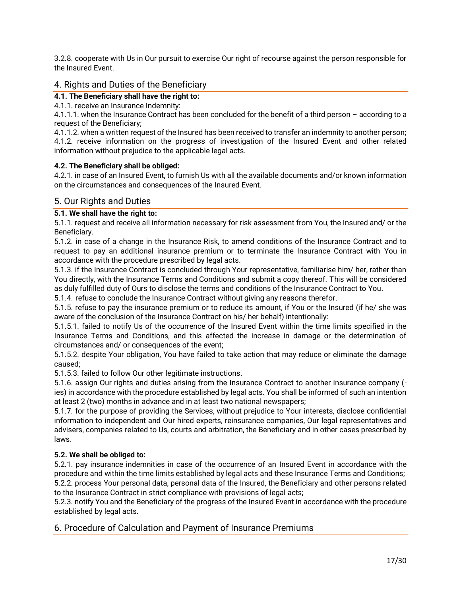3.2.8. cooperate with Us in Our pursuit to exercise Our right of recourse against the person responsible for the Insured Event.

# <span id="page-16-0"></span>4. Rights and Duties of the Beneficiary

**4.1. The Beneficiary shall have the right to:**

4.1.1. receive an Insurance Indemnity:

4.1.1.1. when the Insurance Contract has been concluded for the benefit of a third person – according to a request of the Beneficiary;

4.1.1.2. when a written request of the Insured has been received to transfer an indemnity to another person; 4.1.2. receive information on the progress of investigation of the Insured Event and other related information without prejudice to the applicable legal acts.

# **4.2. The Beneficiary shall be obliged:**

4.2.1. in case of an Insured Event, to furnish Us with all the available documents and/or known information on the circumstances and consequences of the Insured Event.

# <span id="page-16-1"></span>5. Our Rights and Duties

# **5.1. We shall have the right to:**

5.1.1. request and receive all information necessary for risk assessment from You, the Insured and/ or the Beneficiary.

5.1.2. in case of a change in the Insurance Risk, to amend conditions of the Insurance Contract and to request to pay an additional insurance premium or to terminate the Insurance Contract with You in accordance with the procedure prescribed by legal acts.

5.1.3. if the Insurance Contract is concluded through Your representative, familiarise him/ her, rather than You directly, with the Insurance Terms and Conditions and submit a copy thereof. This will be considered as duly fulfilled duty of Ours to disclose the terms and conditions of the Insurance Contract to You.

5.1.4. refuse to conclude the Insurance Contract without giving any reasons therefor.

5.1.5. refuse to pay the insurance premium or to reduce its amount, if You or the Insured (if he/ she was aware of the conclusion of the Insurance Contract on his/ her behalf) intentionally:

5.1.5.1. failed to notify Us of the occurrence of the Insured Event within the time limits specified in the Insurance Terms and Conditions, and this affected the increase in damage or the determination of circumstances and/ or consequences of the event;

5.1.5.2. despite Your obligation, You have failed to take action that may reduce or eliminate the damage caused;

5.1.5.3. failed to follow Our other legitimate instructions.

5.1.6. assign Our rights and duties arising from the Insurance Contract to another insurance company ( ies) in accordance with the procedure established by legal acts. You shall be informed of such an intention at least 2 (two) months in advance and in at least two national newspapers;

5.1.7. for the purpose of providing the Services, without prejudice to Your interests, disclose confidential information to independent and Our hired experts, reinsurance companies, Our legal representatives and advisers, companies related to Us, courts and arbitration, the Beneficiary and in other cases prescribed by laws.

# **5.2. We shall be obliged to:**

5.2.1. pay insurance indemnities in case of the occurrence of an Insured Event in accordance with the procedure and within the time limits established by legal acts and these Insurance Terms and Conditions; 5.2.2. process Your personal data, personal data of the Insured, the Beneficiary and other persons related to the Insurance Contract in strict compliance with provisions of legal acts;

5.2.3. notify You and the Beneficiary of the progress of the Insured Event in accordance with the procedure established by legal acts.

# <span id="page-16-2"></span>6. Procedure of Calculation and Payment of Insurance Premiums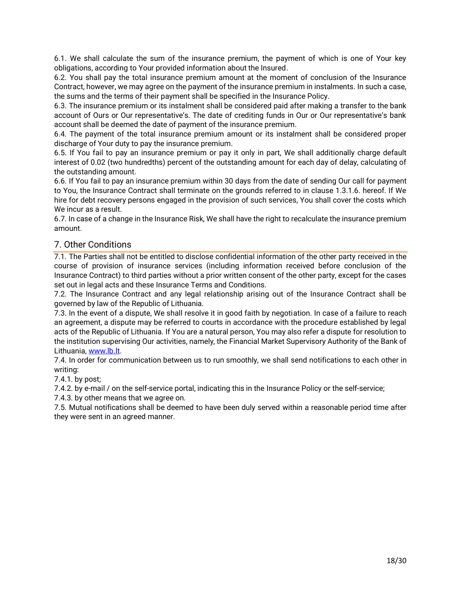6.1. We shall calculate the sum of the insurance premium, the payment of which is one of Your key obligations, according to Your provided information about the Insured.

6.2. You shall pay the total insurance premium amount at the moment of conclusion of the Insurance Contract, however, we may agree on the payment of the insurance premium in instalments. In such a case, the sums and the terms of their payment shall be specified in the Insurance Policy.

6.3. The insurance premium or its instalment shall be considered paid after making a transfer to the bank account of Ours or Our representative's. The date of crediting funds in Our or Our representative's bank account shall be deemed the date of payment of the insurance premium.

6.4. The payment of the total insurance premium amount or its instalment shall be considered proper discharge of Your duty to pay the insurance premium.

6.5. If You fail to pay an insurance premium or pay it only in part, We shall additionally charge default interest of 0.02 (two hundredths) percent of the outstanding amount for each day of delay, calculating of the outstanding amount.

6.6. If You fail to pay an insurance premium within 30 days from the date of sending Our call for payment to You, the Insurance Contract shall terminate on the grounds referred to in clause 1.3.1.6. hereof. If We hire for debt recovery persons engaged in the provision of such services, You shall cover the costs which We incur as a result.

6.7. In case of a change in the Insurance Risk, We shall have the right to recalculate the insurance premium amount.

# <span id="page-17-0"></span>7. Other Conditions

7.1. The Parties shall not be entitled to disclose confidential information of the other party received in the course of provision of insurance services (including information received before conclusion of the Insurance Contract) to third parties without a prior written consent of the other party, except for the cases set out in legal acts and these Insurance Terms and Conditions.

7.2. The Insurance Contract and any legal relationship arising out of the Insurance Contract shall be governed by law of the Republic of Lithuania.

7.3. In the event of a dispute, We shall resolve it in good faith by negotiation. In case of a failure to reach an agreement, a dispute may be referred to courts in accordance with the procedure established by legal acts of the Republic of Lithuania. If You are a natural person, You may also refer a dispute for resolution to the institution supervising Our activities, namely, the Financial Market Supervisory Authority of the Bank of Lithuania[, www.lb.lt.](http://www.lb.lt/)

7.4. In order for communication between us to run smoothly, we shall send notifications to each other in writing:

7.4.1. by post;

7.4.2. by e-mail / on the self-service portal, indicating this in the Insurance Policy or the self-service;

7.4.3. by other means that we agree on.

7.5. Mutual notifications shall be deemed to have been duly served within a reasonable period time after they were sent in an agreed manner.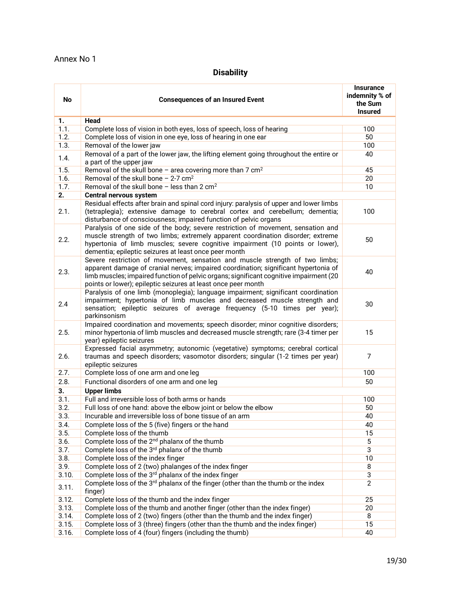# **Disability**

<span id="page-18-0"></span>

| <b>No</b>        | <b>Consequences of an Insured Event</b>                                                                                                                                                                                                                                                                                       |                |  |  |  |
|------------------|-------------------------------------------------------------------------------------------------------------------------------------------------------------------------------------------------------------------------------------------------------------------------------------------------------------------------------|----------------|--|--|--|
| 1.               | Head                                                                                                                                                                                                                                                                                                                          |                |  |  |  |
| 1.1.             | Complete loss of vision in both eyes, loss of speech, loss of hearing                                                                                                                                                                                                                                                         | 100            |  |  |  |
| 1.2.             | Complete loss of vision in one eye, loss of hearing in one ear                                                                                                                                                                                                                                                                | 50             |  |  |  |
| 1.3.             | Removal of the lower jaw                                                                                                                                                                                                                                                                                                      | 100            |  |  |  |
| 1.4.             | Removal of a part of the lower jaw, the lifting element going throughout the entire or<br>a part of the upper jaw                                                                                                                                                                                                             | 40             |  |  |  |
| 1.5.             | Removal of the skull bone - area covering more than 7 $cm2$                                                                                                                                                                                                                                                                   | 45             |  |  |  |
| 1.6.             | Removal of the skull bone $-2-7$ cm <sup>2</sup>                                                                                                                                                                                                                                                                              | 20             |  |  |  |
| 1.7.             | Removal of the skull bone $-$ less than 2 cm <sup>2</sup>                                                                                                                                                                                                                                                                     | 10             |  |  |  |
| $\overline{2.}$  | Central nervous system                                                                                                                                                                                                                                                                                                        |                |  |  |  |
| 2.1.             | Residual effects after brain and spinal cord injury: paralysis of upper and lower limbs<br>(tetraplegia); extensive damage to cerebral cortex and cerebellum; dementia;<br>disturbance of consciousness; impaired function of pelvic organs                                                                                   | 100            |  |  |  |
| 2.2.             | Paralysis of one side of the body; severe restriction of movement, sensation and<br>muscle strength of two limbs; extremely apparent coordination disorder; extreme<br>hypertonia of limb muscles; severe cognitive impairment (10 points or lower),<br>dementia; epileptic seizures at least once peer month                 | 50             |  |  |  |
| 2.3.             | Severe restriction of movement, sensation and muscle strength of two limbs;<br>apparent damage of cranial nerves; impaired coordination; significant hypertonia of<br>limb muscles; impaired function of pelvic organs; significant cognitive impairment (20<br>points or lower); epileptic seizures at least once peer month | 40             |  |  |  |
| 2.4              | Paralysis of one limb (monoplegia); language impairment; significant coordination<br>impairment; hypertonia of limb muscles and decreased muscle strength and<br>sensation; epileptic seizures of average frequency (5-10 times per year);<br>parkinsonism                                                                    | 30             |  |  |  |
| 2.5.             | Impaired coordination and movements; speech disorder; minor cognitive disorders;<br>minor hypertonia of limb muscles and decreased muscle strength; rare (3-4 timer per<br>year) epileptic seizures                                                                                                                           | 15             |  |  |  |
| 2.6.             | Expressed facial asymmetry; autonomic (vegetative) symptoms; cerebral cortical<br>traumas and speech disorders; vasomotor disorders; singular (1-2 times per year)<br>epileptic seizures                                                                                                                                      | $\overline{7}$ |  |  |  |
| 2.7.             | Complete loss of one arm and one leg                                                                                                                                                                                                                                                                                          | 100            |  |  |  |
| 2.8.             | Functional disorders of one arm and one leg                                                                                                                                                                                                                                                                                   | 50             |  |  |  |
| $\overline{3}$ . | <b>Upper limbs</b>                                                                                                                                                                                                                                                                                                            |                |  |  |  |
| 3.1.             | Full and irreversible loss of both arms or hands                                                                                                                                                                                                                                                                              | 100            |  |  |  |
| 3.2.             | Full loss of one hand: above the elbow joint or below the elbow                                                                                                                                                                                                                                                               | 50             |  |  |  |
| 3.3.             | Incurable and irreversible loss of bone tissue of an arm                                                                                                                                                                                                                                                                      | 40             |  |  |  |
| 3.4.             | Complete loss of the 5 (five) fingers or the hand                                                                                                                                                                                                                                                                             | 40             |  |  |  |
| 3.5.             | Complete loss of the thumb                                                                                                                                                                                                                                                                                                    | 15             |  |  |  |
| 3.6.             | Complete loss of the 2 <sup>nd</sup> phalanx of the thumb                                                                                                                                                                                                                                                                     | 5              |  |  |  |
| 3.7.             | Complete loss of the 3rd phalanx of the thumb                                                                                                                                                                                                                                                                                 | 3              |  |  |  |
| 3.8.             | Complete loss of the index finger                                                                                                                                                                                                                                                                                             | 10             |  |  |  |
| 3.9.             | Complete loss of 2 (two) phalanges of the index finger                                                                                                                                                                                                                                                                        | 8              |  |  |  |
| 3.10.            | Complete loss of the 3 <sup>rd</sup> phalanx of the index finger                                                                                                                                                                                                                                                              | $\overline{3}$ |  |  |  |
| 3.11.            | Complete loss of the 3 <sup>rd</sup> phalanx of the finger (other than the thumb or the index<br>finger)                                                                                                                                                                                                                      | $\overline{2}$ |  |  |  |
| 3.12.            | Complete loss of the thumb and the index finger                                                                                                                                                                                                                                                                               | 25             |  |  |  |
| 3.13.            | Complete loss of the thumb and another finger (other than the index finger)                                                                                                                                                                                                                                                   | 20             |  |  |  |
| 3.14.            | Complete loss of 2 (two) fingers (other than the thumb and the index finger)                                                                                                                                                                                                                                                  | 8              |  |  |  |
| 3.15.            | Complete loss of 3 (three) fingers (other than the thumb and the index finger)                                                                                                                                                                                                                                                | 15             |  |  |  |
| 3.16.            | Complete loss of 4 (four) fingers (including the thumb)                                                                                                                                                                                                                                                                       | 40             |  |  |  |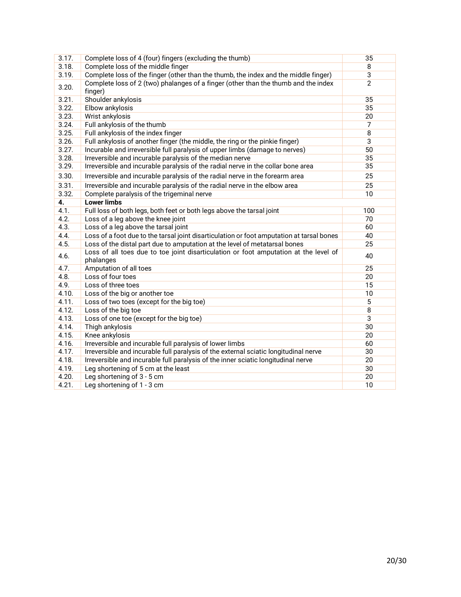| 3.17. | Complete loss of 4 (four) fingers (excluding the thumb)                                           | 35             |
|-------|---------------------------------------------------------------------------------------------------|----------------|
| 3.18. | Complete loss of the middle finger                                                                | $\overline{8}$ |
| 3.19. | Complete loss of the finger (other than the thumb, the index and the middle finger)               | $\overline{3}$ |
| 3.20. | Complete loss of 2 (two) phalanges of a finger (other than the thumb and the index<br>finger)     | $\overline{2}$ |
| 3.21. | Shoulder ankylosis                                                                                | 35             |
| 3.22. | Elbow ankylosis                                                                                   | 35             |
| 3.23. | Wrist ankylosis                                                                                   | 20             |
| 3.24. | Full ankylosis of the thumb                                                                       | $\overline{7}$ |
| 3.25. | Full ankylosis of the index finger                                                                | $\overline{8}$ |
| 3.26. | Full ankylosis of another finger (the middle, the ring or the pinkie finger)                      | 3              |
| 3.27. | Incurable and irreversible full paralysis of upper limbs (damage to nerves)                       | 50             |
| 3.28. | Irreversible and incurable paralysis of the median nerve                                          | 35             |
| 3.29. | Irreversible and incurable paralysis of the radial nerve in the collar bone area                  | 35             |
| 3.30. | Irreversible and incurable paralysis of the radial nerve in the forearm area                      | 25             |
| 3.31. | Irreversible and incurable paralysis of the radial nerve in the elbow area                        | 25             |
| 3.32. | Complete paralysis of the trigeminal nerve                                                        | 10             |
| 4.    | <b>Lower limbs</b>                                                                                |                |
| 4.1.  | Full loss of both legs, both feet or both legs above the tarsal joint                             | 100            |
| 4.2.  | Loss of a leg above the knee joint                                                                | 70             |
| 4.3.  | Loss of a leg above the tarsal joint                                                              | 60             |
| 4.4.  | Loss of a foot due to the tarsal joint disarticulation or foot amputation at tarsal bones         | 40             |
| 4.5.  | Loss of the distal part due to amputation at the level of metatarsal bones                        | 25             |
| 4.6.  | Loss of all toes due to toe joint disarticulation or foot amputation at the level of<br>phalanges | 40             |
| 4.7.  | Amputation of all toes                                                                            | 25             |
| 4.8.  | Loss of four toes                                                                                 | 20             |
| 4.9.  | Loss of three toes                                                                                | 15             |
| 4.10. | Loss of the big or another toe                                                                    | 10             |
| 4.11. | Loss of two toes (except for the big toe)                                                         | 5              |
| 4.12. | Loss of the big toe                                                                               | $\overline{8}$ |
| 4.13. | Loss of one toe (except for the big toe)                                                          | $\overline{3}$ |
| 4.14. | Thigh ankylosis                                                                                   | 30             |
| 4.15. | Knee ankylosis                                                                                    | 20             |
| 4.16. | Irreversible and incurable full paralysis of lower limbs                                          | 60             |
| 4.17. | Irreversible and incurable full paralysis of the external sciatic longitudinal nerve              | 30             |
| 4.18. | Irreversible and incurable full paralysis of the inner sciatic longitudinal nerve                 | 20             |
| 4.19. | Leg shortening of 5 cm at the least                                                               | 30             |
| 4.20. | Leg shortening of 3 - 5 cm                                                                        | 20             |
| 4.21. | Leg shortening of 1 - 3 cm                                                                        | 10             |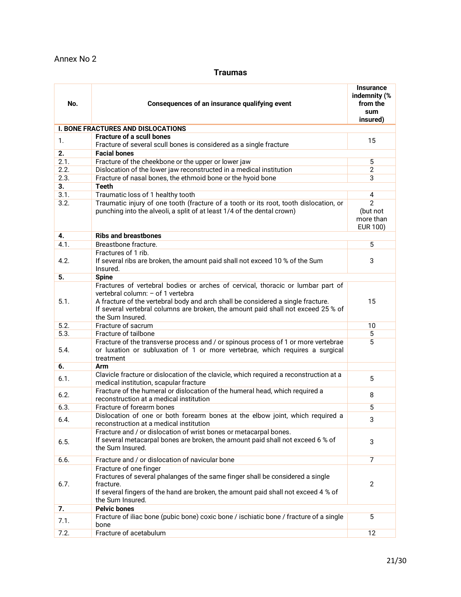# <span id="page-20-0"></span>Annex No 2

# **Traumas**

| No.              | Consequences of an insurance qualifying event                                                                                                                                                                                                                                                                     |                                                            |  |  |
|------------------|-------------------------------------------------------------------------------------------------------------------------------------------------------------------------------------------------------------------------------------------------------------------------------------------------------------------|------------------------------------------------------------|--|--|
|                  | <b>I. BONE FRACTURES AND DISLOCATIONS</b>                                                                                                                                                                                                                                                                         | insured)                                                   |  |  |
|                  | <b>Fracture of a scull bones</b>                                                                                                                                                                                                                                                                                  |                                                            |  |  |
| $\mathbf{1}$ .   | Fracture of several scull bones is considered as a single fracture                                                                                                                                                                                                                                                | 15                                                         |  |  |
| 2.               | <b>Facial bones</b>                                                                                                                                                                                                                                                                                               |                                                            |  |  |
| 2.1.             | Fracture of the cheekbone or the upper or lower jaw                                                                                                                                                                                                                                                               | 5                                                          |  |  |
| 2.2.             | Dislocation of the lower jaw reconstructed in a medical institution                                                                                                                                                                                                                                               | $\overline{2}$                                             |  |  |
| 2.3.             | Fracture of nasal bones, the ethmoid bone or the hyoid bone                                                                                                                                                                                                                                                       | 3                                                          |  |  |
| $\overline{3}$ . | <b>Teeth</b>                                                                                                                                                                                                                                                                                                      |                                                            |  |  |
| 3.1.             | Traumatic loss of 1 healthy tooth                                                                                                                                                                                                                                                                                 | 4                                                          |  |  |
| 3.2.             | Traumatic injury of one tooth (fracture of a tooth or its root, tooth dislocation, or<br>punching into the alveoli, a split of at least 1/4 of the dental crown)                                                                                                                                                  | $\overline{2}$<br>(but not<br>more than<br><b>EUR 100)</b> |  |  |
| 4.               | <b>Ribs and breastbones</b>                                                                                                                                                                                                                                                                                       |                                                            |  |  |
| 4.1.             | Breastbone fracture.                                                                                                                                                                                                                                                                                              | 5                                                          |  |  |
| 4.2.             | Fractures of 1 rib.<br>If several ribs are broken, the amount paid shall not exceed 10 % of the Sum<br>Insured.                                                                                                                                                                                                   | 3                                                          |  |  |
| 5.               | <b>Spine</b>                                                                                                                                                                                                                                                                                                      |                                                            |  |  |
| 5.1.             | Fractures of vertebral bodies or arches of cervical, thoracic or lumbar part of<br>vertebral column: - of 1 vertebra<br>A fracture of the vertebral body and arch shall be considered a single fracture.<br>If several vertebral columns are broken, the amount paid shall not exceed 25 % of<br>the Sum Insured. | 15                                                         |  |  |
| 5.2.             | Fracture of sacrum                                                                                                                                                                                                                                                                                                | 10                                                         |  |  |
| 5.3.             | Fracture of tailbone                                                                                                                                                                                                                                                                                              | 5                                                          |  |  |
| 5.4.             | Fracture of the transverse process and / or spinous process of 1 or more vertebrae<br>or luxation or subluxation of 1 or more vertebrae, which requires a surgical<br>treatment                                                                                                                                   | 5                                                          |  |  |
| 6.               | Arm                                                                                                                                                                                                                                                                                                               |                                                            |  |  |
| 6.1.             | Clavicle fracture or dislocation of the clavicle, which required a reconstruction at a<br>medical institution, scapular fracture                                                                                                                                                                                  | 5                                                          |  |  |
| 6.2.             | Fracture of the humeral or dislocation of the humeral head, which required a<br>reconstruction at a medical institution                                                                                                                                                                                           | 8                                                          |  |  |
| 6.3.             | Fracture of forearm bones                                                                                                                                                                                                                                                                                         | 5                                                          |  |  |
| 6.4.             | Dislocation of one or both forearm bones at the elbow joint, which required a<br>reconstruction at a medical institution                                                                                                                                                                                          | 3                                                          |  |  |
| 6.5.             | Fracture and / or dislocation of wrist bones or metacarpal bones.<br>If several metacarpal bones are broken, the amount paid shall not exceed 6 % of<br>the Sum Insured.                                                                                                                                          | 3                                                          |  |  |
| 6.6.             | Fracture and / or dislocation of navicular bone                                                                                                                                                                                                                                                                   | $\overline{7}$                                             |  |  |
| 6.7.             | Fracture of one finger<br>Fractures of several phalanges of the same finger shall be considered a single<br>fracture.<br>If several fingers of the hand are broken, the amount paid shall not exceed 4 % of<br>the Sum Insured.                                                                                   | $\overline{2}$                                             |  |  |
| 7.               | <b>Pelvic bones</b>                                                                                                                                                                                                                                                                                               |                                                            |  |  |
| 7.1.             | Fracture of iliac bone (pubic bone) coxic bone / ischiatic bone / fracture of a single<br>bone                                                                                                                                                                                                                    | $\overline{5}$                                             |  |  |
| 7.2.             | Fracture of acetabulum                                                                                                                                                                                                                                                                                            | 12                                                         |  |  |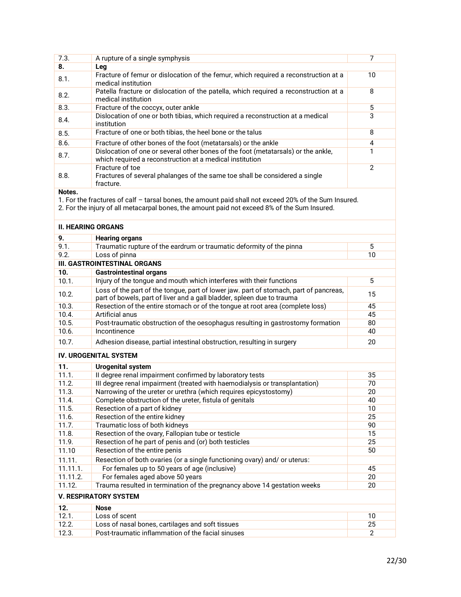| 7.3. | A rupture of a single symphysis                                                                                                               |               |
|------|-----------------------------------------------------------------------------------------------------------------------------------------------|---------------|
| 8.   | Leg                                                                                                                                           |               |
| 8.1. | Fracture of femur or dislocation of the femur, which required a reconstruction at a<br>medical institution                                    | 10            |
| 8.2. | Patella fracture or dislocation of the patella, which required a reconstruction at a<br>medical institution                                   | 8             |
| 8.3. | Fracture of the coccyx, outer ankle                                                                                                           | 5             |
| 8.4. | Dislocation of one or both tibias, which required a reconstruction at a medical<br>institution                                                | 3             |
| 8.5. | Fracture of one or both tibias, the heel bone or the talus                                                                                    | 8             |
| 8.6. | Fracture of other bones of the foot (metatarsals) or the ankle                                                                                | 4             |
| 8.7. | Dislocation of one or several other bones of the foot (metatarsals) or the ankle,<br>which required a reconstruction at a medical institution |               |
| 8.8. | Fracture of toe<br>Fractures of several phalanges of the same toe shall be considered a single<br>fracture.                                   | $\mathcal{P}$ |

### **Notes.**

1. For the fractures of calf – tarsal bones, the amount paid shall not exceed 20% of the Sum Insured.

2. For the injury of all metacarpal bones, the amount paid not exceed 8% of the Sum Insured.

# **II. HEARING ORGANS**

| 9.       | <b>Hearing organs</b>                                                                                                                                           |    |
|----------|-----------------------------------------------------------------------------------------------------------------------------------------------------------------|----|
| 9.1.     | Traumatic rupture of the eardrum or traumatic deformity of the pinna                                                                                            | 5  |
| 9.2.     | Loss of pinna                                                                                                                                                   | 10 |
|          | <b>III. GASTROINTESTINAL ORGANS</b>                                                                                                                             |    |
| 10.      | <b>Gastrointestinal organs</b>                                                                                                                                  |    |
| 10.1.    | Injury of the tongue and mouth which interferes with their functions                                                                                            | 5  |
| 10.2.    | Loss of the part of the tongue, part of lower jaw. part of stomach, part of pancreas,<br>part of bowels, part of liver and a gall bladder, spleen due to trauma | 15 |
| 10.3.    | Resection of the entire stomach or of the tongue at root area (complete loss)                                                                                   | 45 |
| 10.4.    | Artificial anus                                                                                                                                                 | 45 |
| 10.5.    | Post-traumatic obstruction of the oesophagus resulting in gastrostomy formation                                                                                 | 80 |
| 10.6.    | Incontinence                                                                                                                                                    | 40 |
| 10.7.    | Adhesion disease, partial intestinal obstruction, resulting in surgery                                                                                          | 20 |
|          | <b>IV. UROGENITAL SYSTEM</b>                                                                                                                                    |    |
| 11.      | <b>Urogenital system</b>                                                                                                                                        |    |
| 11.1.    | Il degree renal impairment confirmed by laboratory tests                                                                                                        | 35 |
| 11.2.    | III degree renal impairment (treated with haemodialysis or transplantation)                                                                                     | 70 |
| 11.3.    | Narrowing of the ureter or urethra (which requires epicystostomy)                                                                                               | 20 |
| 11.4.    | Complete obstruction of the ureter, fistula of genitals                                                                                                         | 40 |
| 11.5.    | Resection of a part of kidney                                                                                                                                   | 10 |
| 11.6.    | Resection of the entire kidney                                                                                                                                  | 25 |
| 11.7.    | Traumatic loss of both kidneys                                                                                                                                  | 90 |
| 11.8.    | Resection of the ovary, Fallopian tube or testicle                                                                                                              | 15 |
| 11.9.    | Resection of he part of penis and (or) both testicles                                                                                                           | 25 |
| 11.10    | Resection of the entire penis                                                                                                                                   | 50 |
| 11.11.   | Resection of both ovaries (or a single functioning ovary) and/ or uterus:                                                                                       |    |
| 11.11.1. | For females up to 50 years of age (inclusive)                                                                                                                   | 45 |
| 11.11.2. | For females aged above 50 years                                                                                                                                 | 20 |

# **V. RESPIRATORY SYSTEM**

|      | Nose                                              |  |
|------|---------------------------------------------------|--|
|      | Loss of scent                                     |  |
| 12.2 | Loss of nasal bones, cartilages and soft tissues  |  |
| 12.3 | Post-traumatic inflammation of the facial sinuses |  |

11.12. Trauma resulted in termination of the pregnancy above 14 gestation weeks 20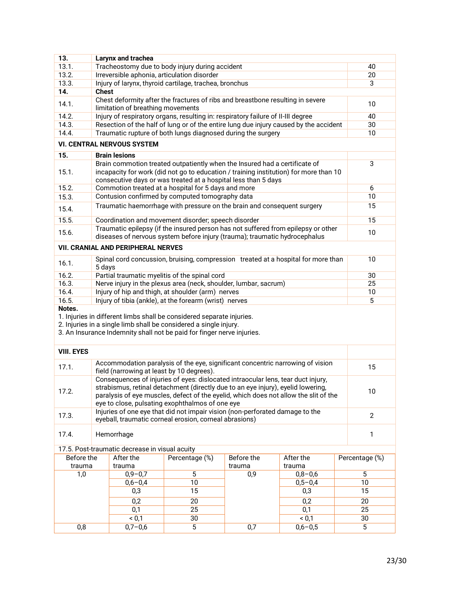| 13.                                                                   |                                                                                                                                                                                                                                                                                                                       | Larynx and trachea                        |                                                                                                                                                                                                                      |     |             |  |                |
|-----------------------------------------------------------------------|-----------------------------------------------------------------------------------------------------------------------------------------------------------------------------------------------------------------------------------------------------------------------------------------------------------------------|-------------------------------------------|----------------------------------------------------------------------------------------------------------------------------------------------------------------------------------------------------------------------|-----|-------------|--|----------------|
| 13.1.                                                                 |                                                                                                                                                                                                                                                                                                                       |                                           | Tracheostomy due to body injury during accident                                                                                                                                                                      |     |             |  | 40             |
| 13.2.                                                                 |                                                                                                                                                                                                                                                                                                                       |                                           | Irreversible aphonia, articulation disorder                                                                                                                                                                          |     |             |  | 20             |
| 13.3.                                                                 |                                                                                                                                                                                                                                                                                                                       |                                           | Injury of larynx, thyroid cartilage, trachea, bronchus                                                                                                                                                               |     |             |  | 3              |
| 14.                                                                   | <b>Chest</b>                                                                                                                                                                                                                                                                                                          |                                           |                                                                                                                                                                                                                      |     |             |  |                |
| 14.1.                                                                 | Chest deformity after the fractures of ribs and breastbone resulting in severe<br>limitation of breathing movements                                                                                                                                                                                                   |                                           | 10                                                                                                                                                                                                                   |     |             |  |                |
| 14.2.                                                                 |                                                                                                                                                                                                                                                                                                                       |                                           | Injury of respiratory organs, resulting in: respiratory failure of II-III degree                                                                                                                                     |     |             |  | 40             |
| 14.3.                                                                 |                                                                                                                                                                                                                                                                                                                       |                                           | Resection of the half of lung or of the entire lung due injury caused by the accident                                                                                                                                |     |             |  | 30             |
| 14.4.<br>Traumatic rupture of both lungs diagnosed during the surgery |                                                                                                                                                                                                                                                                                                                       |                                           |                                                                                                                                                                                                                      |     |             |  | 10             |
|                                                                       |                                                                                                                                                                                                                                                                                                                       | <b>VI. CENTRAL NERVOUS SYSTEM</b>         |                                                                                                                                                                                                                      |     |             |  |                |
| 15.                                                                   |                                                                                                                                                                                                                                                                                                                       | <b>Brain lesions</b>                      |                                                                                                                                                                                                                      |     |             |  |                |
| 15.1.                                                                 | Brain commotion treated outpatiently when the Insured had a certificate of<br>3<br>incapacity for work (did not go to education / training institution) for more than 10<br>consecutive days or was treated at a hospital less than 5 days                                                                            |                                           |                                                                                                                                                                                                                      |     |             |  |                |
| 15.2.                                                                 |                                                                                                                                                                                                                                                                                                                       |                                           | Commotion treated at a hospital for 5 days and more                                                                                                                                                                  |     |             |  | 6              |
| 15.3.                                                                 |                                                                                                                                                                                                                                                                                                                       |                                           | Contusion confirmed by computed tomography data                                                                                                                                                                      |     |             |  | 10             |
| 15.4.                                                                 |                                                                                                                                                                                                                                                                                                                       |                                           | Traumatic haemorrhage with pressure on the brain and consequent surgery                                                                                                                                              |     |             |  | 15             |
| 15.5.                                                                 |                                                                                                                                                                                                                                                                                                                       |                                           | Coordination and movement disorder; speech disorder                                                                                                                                                                  |     |             |  | 15             |
| 15.6.                                                                 |                                                                                                                                                                                                                                                                                                                       |                                           | Traumatic epilepsy (if the insured person has not suffered from epilepsy or other<br>diseases of nervous system before injury (trauma); traumatic hydrocephalus                                                      |     |             |  | 10             |
|                                                                       |                                                                                                                                                                                                                                                                                                                       | <b>VII. CRANIAL AND PERIPHERAL NERVES</b> |                                                                                                                                                                                                                      |     |             |  |                |
| 16.1.                                                                 | Spinal cord concussion, bruising, compression treated at a hospital for more than<br>10<br>5 days                                                                                                                                                                                                                     |                                           |                                                                                                                                                                                                                      |     |             |  |                |
| 16.2.                                                                 |                                                                                                                                                                                                                                                                                                                       |                                           | Partial traumatic myelitis of the spinal cord                                                                                                                                                                        |     |             |  | 30             |
| 16.3.                                                                 |                                                                                                                                                                                                                                                                                                                       |                                           | Nerve injury in the plexus area (neck, shoulder, lumbar, sacrum)                                                                                                                                                     |     |             |  | 25             |
| 16.4.<br>Injury of hip and thigh, at shoulder (arm) nerves            |                                                                                                                                                                                                                                                                                                                       |                                           |                                                                                                                                                                                                                      |     |             |  | 10             |
| 16.5.                                                                 |                                                                                                                                                                                                                                                                                                                       |                                           | Injury of tibia (ankle), at the forearm (wrist) nerves                                                                                                                                                               |     |             |  | 5              |
| Notes.                                                                |                                                                                                                                                                                                                                                                                                                       |                                           | 1. Injuries in different limbs shall be considered separate injuries.<br>2. Injuries in a single limb shall be considered a single injury.<br>3. An Insurance Indemnity shall not be paid for finger nerve injuries. |     |             |  |                |
| <b>VIII. EYES</b>                                                     |                                                                                                                                                                                                                                                                                                                       |                                           |                                                                                                                                                                                                                      |     |             |  |                |
| 17.1.                                                                 |                                                                                                                                                                                                                                                                                                                       | field (narrowing at least by 10 degrees). | Accommodation paralysis of the eye, significant concentric narrowing of vision                                                                                                                                       |     |             |  | 15             |
| 17.2.                                                                 | Consequences of injuries of eyes: dislocated intraocular lens, tear duct injury,<br>strabismus, retinal detachment (directly due to an eye injury), eyelid lowering,<br>10<br>paralysis of eye muscles, defect of the eyelid, which does not allow the slit of the<br>eye to close, pulsating exophthalmos of one eye |                                           |                                                                                                                                                                                                                      |     |             |  |                |
| 17.3.                                                                 |                                                                                                                                                                                                                                                                                                                       |                                           | Injuries of one eye that did not impair vision (non-perforated damage to the<br>eyeball, traumatic corneal erosion, corneal abrasions)                                                                               |     |             |  | $\overline{2}$ |
| 17.4.                                                                 |                                                                                                                                                                                                                                                                                                                       | Hemorrhage                                |                                                                                                                                                                                                                      |     |             |  | $\mathbf{1}$   |
| 17.5. Post-traumatic decrease in visual acuity                        |                                                                                                                                                                                                                                                                                                                       |                                           |                                                                                                                                                                                                                      |     |             |  |                |
|                                                                       | After the<br>Percentage (%)<br><b>Before the</b><br>After the<br>Before the<br>Percentage (%)                                                                                                                                                                                                                         |                                           |                                                                                                                                                                                                                      |     |             |  |                |
|                                                                       | trauma<br>trauma<br>trauma<br>trauma                                                                                                                                                                                                                                                                                  |                                           |                                                                                                                                                                                                                      |     |             |  |                |
| 1,0                                                                   |                                                                                                                                                                                                                                                                                                                       | $0,9 - 0,7$                               | $\overline{5}$                                                                                                                                                                                                       | 0,9 | $0,8 - 0,6$ |  | 5              |
|                                                                       |                                                                                                                                                                                                                                                                                                                       | $0,6 - 0,4$                               | 10                                                                                                                                                                                                                   |     | $0,5 - 0,4$ |  | 10             |
|                                                                       |                                                                                                                                                                                                                                                                                                                       | 0,3                                       | 15                                                                                                                                                                                                                   |     | 0,3         |  | 15             |
|                                                                       |                                                                                                                                                                                                                                                                                                                       | 0,2                                       | 20                                                                                                                                                                                                                   |     | 0,2         |  | 20             |
|                                                                       |                                                                                                                                                                                                                                                                                                                       | 0,1                                       | 25                                                                                                                                                                                                                   |     | 0,1         |  | 25             |
|                                                                       |                                                                                                                                                                                                                                                                                                                       | < 0,1                                     | 30                                                                                                                                                                                                                   |     | < 0.1       |  | 30             |
| 0,8                                                                   |                                                                                                                                                                                                                                                                                                                       | $0,7 - 0,6$                               | $\overline{5}$                                                                                                                                                                                                       | 0,7 | $0,6 - 0,5$ |  | 5              |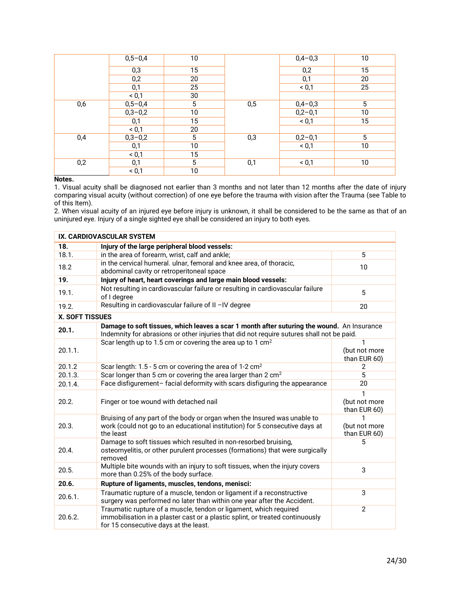|     | $0,5 - 0,4$ | 10              |     | $0,4-0,3$ | 10              |
|-----|-------------|-----------------|-----|-----------|-----------------|
|     | 0,3         | $1\overline{5}$ |     | 0,2       | 15              |
|     | 0,2         | 20              |     | 0,1       | 20              |
|     | 0,1         | 25              |     | < 0,1     | 25              |
|     | < 0,1       | 30              |     |           |                 |
| 0,6 | $0,5 - 0,4$ | $5\phantom{.0}$ | 0,5 | $0,4-0,3$ | $5\phantom{.0}$ |
|     | $0,3-0,2$   | 10              |     | $0,2-0,1$ | 10              |
|     | 0,1         | 15              |     | < 0,1     | 15              |
|     | < 0,1       | 20              |     |           |                 |
| 0,4 | $0,3 - 0,2$ | 5               | 0,3 | $0,2-0,1$ | 5               |
|     | 0,1         | 10              |     | < 0,1     | 10              |
|     | < 0,1       | 15              |     |           |                 |
| 0,2 | 0,1         | 5               | 0,1 | < 0,1     | 10              |
|     | < 0,1       | 10              |     |           |                 |

# **Notes.**

1. Visual acuity shall be diagnosed not earlier than 3 months and not later than 12 months after the date of injury comparing visual acuity (without correction) of one eye before the trauma with vision after the Trauma (see Table to of this Item).

2. When visual acuity of an injured eye before injury is unknown, it shall be considered to be the same as that of an uninjured eye. Injury of a single sighted eye shall be considered an injury to both eyes.

| IX. CARDIOVASCULAR SYSTEM |                                                                                                                                                                                             |                                               |  |
|---------------------------|---------------------------------------------------------------------------------------------------------------------------------------------------------------------------------------------|-----------------------------------------------|--|
| 18.                       | Injury of the large peripheral blood vessels:                                                                                                                                               |                                               |  |
| 18.1.                     | in the area of forearm, wrist, calf and ankle;                                                                                                                                              | 5                                             |  |
| 18.2                      | in the cervical humeral. ulnar, femoral and knee area, of thoracic,<br>abdominal cavity or retroperitoneal space                                                                            | 10                                            |  |
| 19.                       | Injury of heart, heart coverings and large main blood vessels:                                                                                                                              |                                               |  |
| 19.1.                     | Not resulting in cardiovascular failure or resulting in cardiovascular failure<br>of I degree                                                                                               | 5                                             |  |
| 19.2.                     | Resulting in cardiovascular failure of II -IV degree                                                                                                                                        | 20                                            |  |
| X. SOFT TISSUES           |                                                                                                                                                                                             |                                               |  |
| 20.1.                     | Damage to soft tissues, which leaves a scar 1 month after suturing the wound. An Insurance<br>Indemnity for abrasions or other injuries that did not require sutures shall not be paid.     |                                               |  |
| 20.1.1.                   | Scar length up to 1.5 cm or covering the area up to 1 cm <sup>2</sup>                                                                                                                       | $\mathbf{1}$<br>(but not more<br>than EUR 60) |  |
| 20.1.2                    | Scar length: 1.5 - 5 cm or covering the area of 1-2 cm <sup>2</sup>                                                                                                                         | 2                                             |  |
| 20.1.3.                   | Scar longer than 5 cm or covering the area larger than 2 cm <sup>2</sup>                                                                                                                    | 5                                             |  |
| 20.1.4.                   | Face disfigurement-facial deformity with scars disfiguring the appearance                                                                                                                   | 20                                            |  |
| 20.2.                     | Finger or toe wound with detached nail                                                                                                                                                      | 1<br>(but not more<br>than EUR 60)            |  |
| 20.3.                     | Bruising of any part of the body or organ when the Insured was unable to<br>work (could not go to an educational institution) for 5 consecutive days at<br>the least                        | 1<br>(but not more<br>than EUR 60)            |  |
| 20.4.                     | Damage to soft tissues which resulted in non-resorbed bruising,<br>osteomyelitis, or other purulent processes (formations) that were surgically<br>removed                                  | 5                                             |  |
| 20.5.                     | Multiple bite wounds with an injury to soft tissues, when the injury covers<br>more than 0.25% of the body surface.                                                                         | 3                                             |  |
| 20.6.                     | Rupture of ligaments, muscles, tendons, menisci:                                                                                                                                            |                                               |  |
| 20.6.1.                   | Traumatic rupture of a muscle, tendon or ligament if a reconstructive<br>surgery was performed no later than within one year after the Accident.                                            | 3                                             |  |
| 20.6.2.                   | Traumatic rupture of a muscle, tendon or ligament, which required<br>immobilisation in a plaster cast or a plastic splint, or treated continuously<br>for 15 consecutive days at the least. | $\overline{2}$                                |  |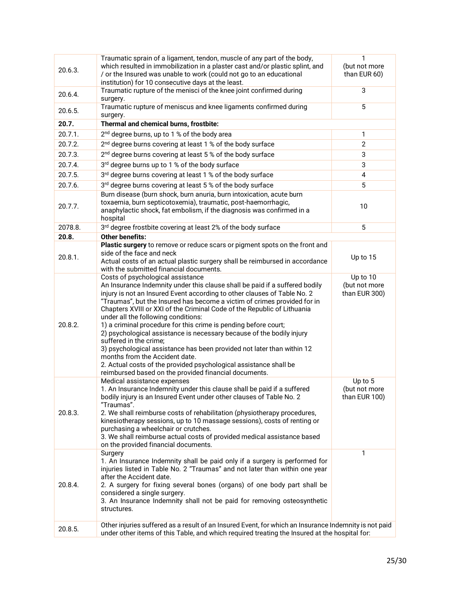| 20.6.3. | Traumatic sprain of a ligament, tendon, muscle of any part of the body,<br>which resulted in immobilization in a plaster cast and/or plastic splint, and<br>/ or the Insured was unable to work (could not go to an educational<br>institution) for 10 consecutive days at the least.                                                                                                                                                                                                                                                                                                                                                                                                                                                                                                                      | 1<br>(but not more<br>than EUR 60)         |
|---------|------------------------------------------------------------------------------------------------------------------------------------------------------------------------------------------------------------------------------------------------------------------------------------------------------------------------------------------------------------------------------------------------------------------------------------------------------------------------------------------------------------------------------------------------------------------------------------------------------------------------------------------------------------------------------------------------------------------------------------------------------------------------------------------------------------|--------------------------------------------|
| 20.6.4. | Traumatic rupture of the menisci of the knee joint confirmed during<br>surgery.                                                                                                                                                                                                                                                                                                                                                                                                                                                                                                                                                                                                                                                                                                                            | 3                                          |
| 20.6.5. | Traumatic rupture of meniscus and knee ligaments confirmed during<br>surgery.                                                                                                                                                                                                                                                                                                                                                                                                                                                                                                                                                                                                                                                                                                                              | $\overline{5}$                             |
| 20.7.   | Thermal and chemical burns, frostbite:                                                                                                                                                                                                                                                                                                                                                                                                                                                                                                                                                                                                                                                                                                                                                                     |                                            |
| 20.7.1. | 2 <sup>nd</sup> degree burns, up to 1 % of the body area                                                                                                                                                                                                                                                                                                                                                                                                                                                                                                                                                                                                                                                                                                                                                   | 1                                          |
| 20.7.2. | 2 <sup>nd</sup> degree burns covering at least 1 % of the body surface                                                                                                                                                                                                                                                                                                                                                                                                                                                                                                                                                                                                                                                                                                                                     | $\mathbf{2}$                               |
| 20.7.3. | 2 <sup>nd</sup> degree burns covering at least 5 % of the body surface                                                                                                                                                                                                                                                                                                                                                                                                                                                                                                                                                                                                                                                                                                                                     | 3                                          |
| 20.7.4. | 3rd degree burns up to 1 % of the body surface                                                                                                                                                                                                                                                                                                                                                                                                                                                                                                                                                                                                                                                                                                                                                             | 3                                          |
| 20.7.5. | 3rd degree burns covering at least 1 % of the body surface                                                                                                                                                                                                                                                                                                                                                                                                                                                                                                                                                                                                                                                                                                                                                 | 4                                          |
| 20.7.6. | 3rd degree burns covering at least 5 % of the body surface                                                                                                                                                                                                                                                                                                                                                                                                                                                                                                                                                                                                                                                                                                                                                 | 5                                          |
| 20.7.7. | Burn disease (burn shock, burn anuria, burn intoxication, acute burn<br>toxaemia, burn septicotoxemia), traumatic, post-haemorrhagic,<br>anaphylactic shock, fat embolism, if the diagnosis was confirmed in a<br>hospital                                                                                                                                                                                                                                                                                                                                                                                                                                                                                                                                                                                 | 10                                         |
| 2078.8. | 3rd degree frostbite covering at least 2% of the body surface                                                                                                                                                                                                                                                                                                                                                                                                                                                                                                                                                                                                                                                                                                                                              | 5                                          |
| 20.8.   | <b>Other benefits:</b>                                                                                                                                                                                                                                                                                                                                                                                                                                                                                                                                                                                                                                                                                                                                                                                     |                                            |
| 20.8.1. | Plastic surgery to remove or reduce scars or pigment spots on the front and<br>side of the face and neck<br>Actual costs of an actual plastic surgery shall be reimbursed in accordance                                                                                                                                                                                                                                                                                                                                                                                                                                                                                                                                                                                                                    | Up to 15                                   |
|         | with the submitted financial documents.                                                                                                                                                                                                                                                                                                                                                                                                                                                                                                                                                                                                                                                                                                                                                                    |                                            |
| 20.8.2. | Costs of psychological assistance<br>An Insurance Indemnity under this clause shall be paid if a suffered bodily<br>injury is not an Insured Event according to other clauses of Table No. 2<br>"Traumas", but the Insured has become a victim of crimes provided for in<br>Chapters XVIII or XXI of the Criminal Code of the Republic of Lithuania<br>under all the following conditions:<br>1) a criminal procedure for this crime is pending before court;<br>2) psychological assistance is necessary because of the bodily injury<br>suffered in the crime;<br>3) psychological assistance has been provided not later than within 12<br>months from the Accident date.<br>2. Actual costs of the provided psychological assistance shall be<br>reimbursed based on the provided financial documents. | Up to 10<br>(but not more<br>than EUR 300) |
| 20.8.3. | Medical assistance expenses<br>1. An Insurance Indemnity under this clause shall be paid if a suffered<br>bodily injury is an Insured Event under other clauses of Table No. 2<br>"Traumas".<br>2. We shall reimburse costs of rehabilitation (physiotherapy procedures,<br>kinesiotherapy sessions, up to 10 massage sessions), costs of renting or<br>purchasing a wheelchair or crutches.<br>3. We shall reimburse actual costs of provided medical assistance based<br>on the provided financial documents.                                                                                                                                                                                                                                                                                            | Up to 5<br>(but not more<br>than EUR 100)  |
| 20.8.4. | Surgery<br>1. An Insurance Indemnity shall be paid only if a surgery is performed for<br>injuries listed in Table No. 2 "Traumas" and not later than within one year<br>after the Accident date.<br>2. A surgery for fixing several bones (organs) of one body part shall be<br>considered a single surgery.<br>3. An Insurance Indemnity shall not be paid for removing osteosynthetic<br>structures.<br>Other injuries suffered as a result of an Insured Event, for which an Insurance Indemnity is not paid                                                                                                                                                                                                                                                                                            | 1                                          |
| 20.8.5. | under other items of this Table, and which required treating the Insured at the hospital for:                                                                                                                                                                                                                                                                                                                                                                                                                                                                                                                                                                                                                                                                                                              |                                            |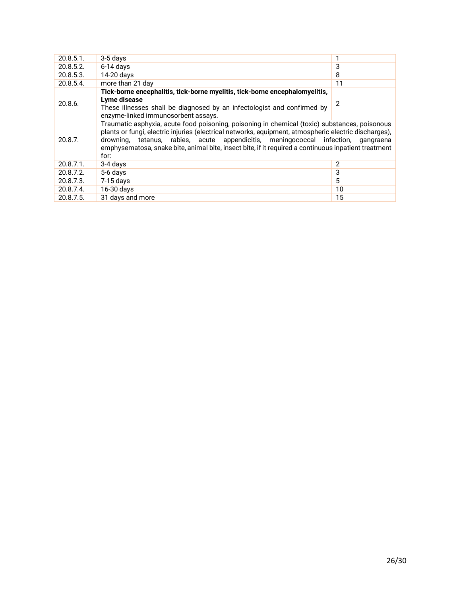| $20.8.5.1$ .                                                                                                                                                                                                                                                                                                                                                                                                           | 3-5 days                                                                                                                                                                                                      |                |
|------------------------------------------------------------------------------------------------------------------------------------------------------------------------------------------------------------------------------------------------------------------------------------------------------------------------------------------------------------------------------------------------------------------------|---------------------------------------------------------------------------------------------------------------------------------------------------------------------------------------------------------------|----------------|
| 20.8.5.2.                                                                                                                                                                                                                                                                                                                                                                                                              | $6-14$ days                                                                                                                                                                                                   | 3              |
| 20.8.5.3.                                                                                                                                                                                                                                                                                                                                                                                                              | 14-20 days                                                                                                                                                                                                    | 8              |
| 20.8.5.4.                                                                                                                                                                                                                                                                                                                                                                                                              | more than 21 day                                                                                                                                                                                              | 11             |
| 20.8.6.                                                                                                                                                                                                                                                                                                                                                                                                                | Tick-borne encephalitis, tick-borne myelitis, tick-borne encephalomyelitis,<br>Lyme disease<br>These illnesses shall be diagnosed by an infectologist and confirmed by<br>enzyme-linked immunosorbent assays. | $\overline{2}$ |
| Traumatic asphyxia, acute food poisoning, poisoning in chemical (toxic) substances, poisonous<br>plants or fungi, electric injuries (electrical networks, equipment, atmospheric electric discharges),<br>drowning, tetanus, rabies, acute appendicitis, meningococcal infection, gangraena<br>20.8.7.<br>emphysematosa, snake bite, animal bite, insect bite, if it required a continuous inpatient treatment<br>for: |                                                                                                                                                                                                               |                |
| 20.8.7.1.                                                                                                                                                                                                                                                                                                                                                                                                              | 3-4 days                                                                                                                                                                                                      | 2              |
| 20.8.7.2.                                                                                                                                                                                                                                                                                                                                                                                                              | 5-6 days                                                                                                                                                                                                      | 3              |
| 20.8.7.3.                                                                                                                                                                                                                                                                                                                                                                                                              | $7-15$ days                                                                                                                                                                                                   | 5              |
| 20.8.7.4.                                                                                                                                                                                                                                                                                                                                                                                                              | 16-30 days                                                                                                                                                                                                    | 10             |
| 20.8.7.5.                                                                                                                                                                                                                                                                                                                                                                                                              | 31 days and more                                                                                                                                                                                              | 15             |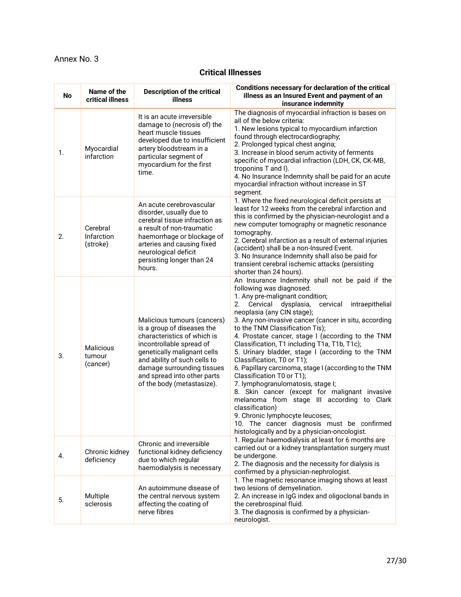# <span id="page-26-0"></span>Annex No. 3

# **Critical Illnesses**

| <b>No</b> | Name of the<br>critical illness        | <b>Description of the critical</b><br>illness                                                                                                                                                                                                                                  | Conditions necessary for declaration of the critical<br>illness as an Insured Event and payment of an<br>insurance indemnity                                                                                                                                                                                                                                                                                                                                                                                                                                                                                                                                                                                                                                                                                                                                                   |
|-----------|----------------------------------------|--------------------------------------------------------------------------------------------------------------------------------------------------------------------------------------------------------------------------------------------------------------------------------|--------------------------------------------------------------------------------------------------------------------------------------------------------------------------------------------------------------------------------------------------------------------------------------------------------------------------------------------------------------------------------------------------------------------------------------------------------------------------------------------------------------------------------------------------------------------------------------------------------------------------------------------------------------------------------------------------------------------------------------------------------------------------------------------------------------------------------------------------------------------------------|
| 1.        | Myocardial<br>infarction               | It is an acute irreversible<br>damage to (necrosis of) the<br>heart muscle tissues<br>developed due to insufficient<br>artery bloodstream in a<br>particular segment of<br>myocardium for the first<br>time.                                                                   | The diagnosis of myocardial infraction is bases on<br>all of the below criteria:<br>1. New lesions typical to myocardium infarction<br>found through electrocardiography;<br>2. Prolonged typical chest angina;<br>3. Increase in blood serum activity of ferments<br>specific of myocardial infraction (LDH, CK, CK-MB,<br>troponins T and I).<br>4. No Insurance Indemnity shall be paid for an acute<br>myocardial infraction without increase in ST<br>segment.                                                                                                                                                                                                                                                                                                                                                                                                            |
| 2.        | Cerebral<br>Infarction<br>(stroke)     | An acute cerebrovascular<br>disorder, usually due to<br>cerebral tissue infraction as<br>a result of non-traumatic<br>haemorrhage or blockage of<br>arteries and causing fixed<br>neurological deficit<br>persisting longer than 24<br>hours.                                  | 1. Where the fixed neurological deficit persists at<br>least for 12 weeks from the cerebral infarction and<br>this is confirmed by the physician-neurologist and a<br>new computer tomography or magnetic resonance<br>tomography.<br>2. Cerebral infarction as a result of external injuries<br>(accident) shall be a non-Insured Event.<br>3. No Insurance Indemnity shall also be paid for<br>transient cerebral ischemic attacks (persisting<br>shorter than 24 hours).                                                                                                                                                                                                                                                                                                                                                                                                    |
| 3.        | <b>Malicious</b><br>tumour<br>(cancer) | Malicious tumours (cancers)<br>is a group of diseases the<br>characteristics of which is<br>incontrollable spread of<br>genetically malignant cells<br>and ability of such cells to<br>damage surrounding tissues<br>and spread into other parts<br>of the body (metastasize). | An Insurance Indemnity shall not be paid if the<br>following was diagnosed:<br>1. Any pre-malignant condition;<br>2.<br>Cervical<br>dysplasia,<br>cervical<br>intraepithelial<br>neoplasia (any CIN stage);<br>3. Any non-invasive cancer (cancer in situ, according<br>to the TNM Classification Tis);<br>4. Prostate cancer, stage I (according to the TNM<br>Classification, T1 including T1a, T1b, T1c);<br>5. Urinary bladder, stage I (according to the TNM<br>Classification, T0 or T1);<br>6. Papillary carcinoma, stage I (according to the TNM<br>Classification T0 or T1);<br>7. lymphogranulomatosis, stage I;<br>8. Skin cancer (except for malignant invasive<br>melanoma from stage III according to Clark<br>classification)<br>9. Chronic lymphocyte leucoses;<br>10. The cancer diagnosis must be confirmed<br>histologically and by a physician-oncologist. |
| 4.        | Chronic kidney<br>deficiency           | Chronic and irreversible<br>functional kidney deficiency<br>due to which regular<br>haemodialysis is necessary                                                                                                                                                                 | 1. Regular haemodialysis at least for 6 months are<br>carried out or a kidney transplantation surgery must<br>be undergone.<br>2. The diagnosis and the necessity for dialysis is<br>confirmed by a physician-nephrologist.                                                                                                                                                                                                                                                                                                                                                                                                                                                                                                                                                                                                                                                    |
| 5.        | Multiple<br>sclerosis                  | An autoimmune disease of<br>the central nervous system<br>affecting the coating of<br>nerve fibres                                                                                                                                                                             | 1. The magnetic resonance imaging shows at least<br>two lesions of demyelination.<br>2. An increase in IgG index and oligoclonal bands in<br>the cerebrospinal fluid.<br>3. The diagnosis is confirmed by a physician-<br>neurologist.                                                                                                                                                                                                                                                                                                                                                                                                                                                                                                                                                                                                                                         |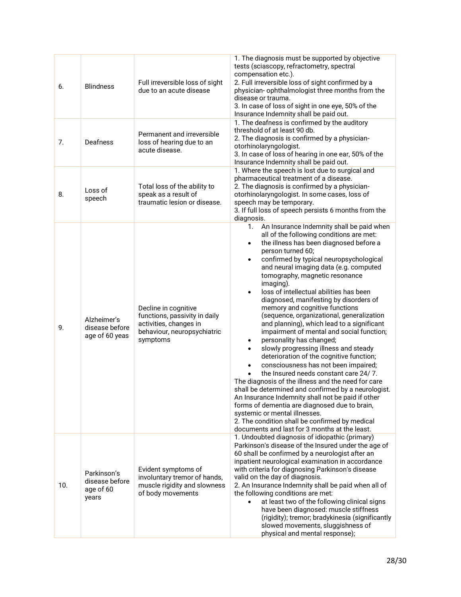| 6.  | <b>Blindness</b>                                    | Full irreversible loss of sight<br>due to an acute disease                                                                 | 1. The diagnosis must be supported by objective<br>tests (sciascopy, refractometry, spectral<br>compensation etc.).<br>2. Full irreversible loss of sight confirmed by a<br>physician- ophthalmologist three months from the<br>disease or trauma.<br>3. In case of loss of sight in one eye, 50% of the<br>Insurance Indemnity shall be paid out.                                                                                                                                                                                                                                                                                                                                                                                                                                                                                                                                                                                                                                                                                                                                                                                                                                       |
|-----|-----------------------------------------------------|----------------------------------------------------------------------------------------------------------------------------|------------------------------------------------------------------------------------------------------------------------------------------------------------------------------------------------------------------------------------------------------------------------------------------------------------------------------------------------------------------------------------------------------------------------------------------------------------------------------------------------------------------------------------------------------------------------------------------------------------------------------------------------------------------------------------------------------------------------------------------------------------------------------------------------------------------------------------------------------------------------------------------------------------------------------------------------------------------------------------------------------------------------------------------------------------------------------------------------------------------------------------------------------------------------------------------|
| 7.  | Deafness                                            | Permanent and irreversible<br>loss of hearing due to an<br>acute disease.                                                  | 1. The deafness is confirmed by the auditory<br>threshold of at least 90 db.<br>2. The diagnosis is confirmed by a physician-<br>otorhinolaryngologist.<br>3. In case of loss of hearing in one ear, 50% of the<br>Insurance Indemnity shall be paid out.                                                                                                                                                                                                                                                                                                                                                                                                                                                                                                                                                                                                                                                                                                                                                                                                                                                                                                                                |
| 8.  | Loss of<br>speech                                   | Total loss of the ability to<br>speak as a result of<br>traumatic lesion or disease.                                       | 1. Where the speech is lost due to surgical and<br>pharmaceutical treatment of a disease.<br>2. The diagnosis is confirmed by a physician-<br>otorhinolaryngologist. In some cases, loss of<br>speech may be temporary.<br>3. If full loss of speech persists 6 months from the<br>diagnosis.                                                                                                                                                                                                                                                                                                                                                                                                                                                                                                                                                                                                                                                                                                                                                                                                                                                                                            |
| 9.  | Alzheimer's<br>disease before<br>age of 60 yeas     | Decline in cognitive<br>functions, passivity in daily<br>activities, changes in<br>behaviour, neuropsychiatric<br>symptoms | An Insurance Indemnity shall be paid when<br>1.<br>all of the following conditions are met:<br>the illness has been diagnosed before a<br>$\bullet$<br>person turned 60;<br>confirmed by typical neuropsychological<br>$\bullet$<br>and neural imaging data (e.g. computed<br>tomography, magnetic resonance<br>imaging).<br>loss of intellectual abilities has been<br>$\bullet$<br>diagnosed, manifesting by disorders of<br>memory and cognitive functions<br>(sequence, organizational, generalization<br>and planning), which lead to a significant<br>impairment of mental and social function;<br>personality has changed;<br>$\bullet$<br>slowly progressing illness and steady<br>$\bullet$<br>deterioration of the cognitive function;<br>consciousness has not been impaired;<br>the Insured needs constant care 24/7.<br>The diagnosis of the illness and the need for care<br>shall be determined and confirmed by a neurologist.<br>An Insurance Indemnity shall not be paid if other<br>forms of dementia are diagnosed due to brain,<br>systemic or mental illnesses.<br>2. The condition shall be confirmed by medical<br>documents and last for 3 months at the least. |
| 10. | Parkinson's<br>disease before<br>age of 60<br>years | Evident symptoms of<br>involuntary tremor of hands,<br>muscle rigidity and slowness<br>of body movements                   | 1. Undoubted diagnosis of idiopathic (primary)<br>Parkinson's disease of the Insured under the age of<br>60 shall be confirmed by a neurologist after an<br>inpatient neurological examination in accordance<br>with criteria for diagnosing Parkinson's disease<br>valid on the day of diagnosis.<br>2. An Insurance Indemnity shall be paid when all of<br>the following conditions are met:<br>at least two of the following clinical signs<br>have been diagnosed: muscle stiffness<br>(rigidity); tremor; bradykinesia (significantly<br>slowed movements, sluggishness of<br>physical and mental response);                                                                                                                                                                                                                                                                                                                                                                                                                                                                                                                                                                        |